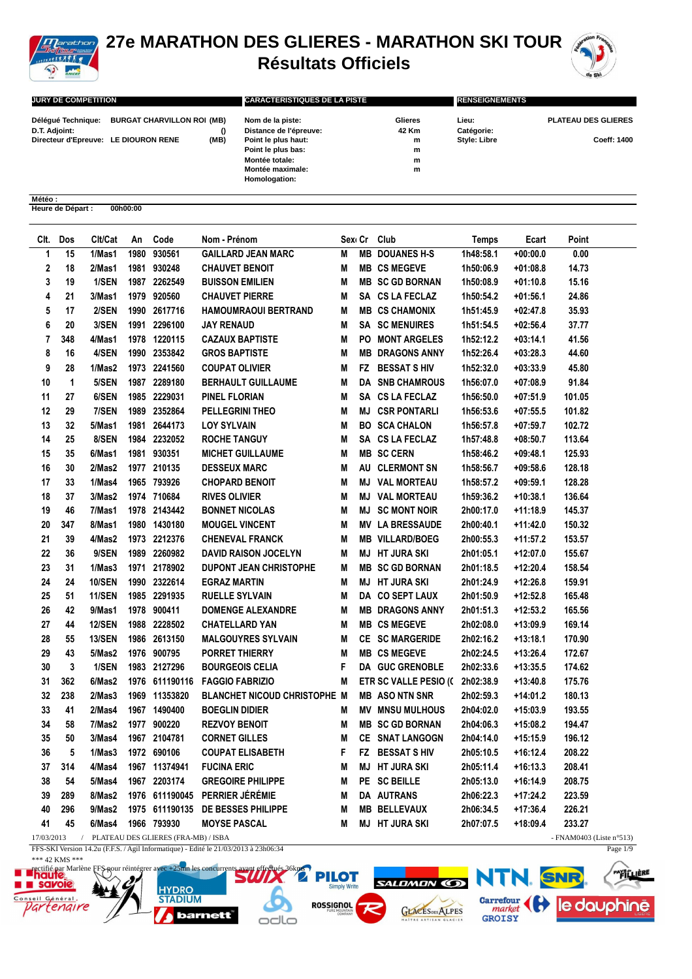

## **27e MARATHON DES GLIERES - MARATHON SKI TOUR Résultats Officiels**



Page 1/9

| <b>JURY DE COMPETITION</b>           |                                               |      | <b>CARACTERISTIQUES DE LA PISTE</b> |         | <b>RENSEIGNEMENTS</b> |                            |  |  |
|--------------------------------------|-----------------------------------------------|------|-------------------------------------|---------|-----------------------|----------------------------|--|--|
|                                      | Délégué Technique: BURGAT CHARVILLON ROI (MB) |      | Nom de la piste:                    | Glieres | Lieu:                 | <b>PLATEAU DES GLIERES</b> |  |  |
| D.T. Adjoint:                        |                                               |      | Distance de l'épreuve:              | 42 Km   | Catégorie:            |                            |  |  |
| Directeur d'Epreuve: LE DIOURON RENE |                                               | (MB) | Point le plus haut:                 | m       | <b>Style: Libre</b>   | Coeff: 1400                |  |  |
|                                      |                                               |      | Point le plus bas:                  | m       |                       |                            |  |  |
|                                      |                                               |      | Montée totale:                      | m       |                       |                            |  |  |
|                                      |                                               |      | Montée maximale:                    | m       |                       |                            |  |  |
|                                      |                                               |      | Homologation:                       |         |                       |                            |  |  |

## **Météo : Heure de Départ : 00h00:00**

| Clt.       | Dos | Clt/Cat       | An   | Code                                | Nom - Prénom                        |   | Sexi Cr   | Club                            | <b>Temps</b> | Ecart      | Point                       |
|------------|-----|---------------|------|-------------------------------------|-------------------------------------|---|-----------|---------------------------------|--------------|------------|-----------------------------|
| 1          | 15  | 1/Mas1        | 1980 | 930561                              | <b>GAILLARD JEAN MARC</b>           | M | <b>MB</b> | <b>DOUANES H-S</b>              | 1h48:58.1    | $+00:00.0$ | 0.00                        |
| 2          | 18  | 2/Mas1        | 1981 | 930248                              | <b>CHAUVET BENOIT</b>               | M |           | <b>MB CS MEGEVE</b>             | 1h50:06.9    | $+01:08.8$ | 14.73                       |
| 3          | 19  | 1/SEN         | 1987 | 2262549                             | <b>BUISSON EMILIEN</b>              | M |           | <b>MB SC GD BORNAN</b>          | 1h50:08.9    | $+01:10.8$ | 15.16                       |
| 4          | 21  | 3/Mas1        | 1979 | 920560                              | <b>CHAUVET PIERRE</b>               | M |           | SA CS LA FECLAZ                 | 1h50:54.2    | $+01:56.1$ | 24.86                       |
| 5          | 17  | 2/SEN         | 1990 | 2617716                             | HAMOUMRAOUI BERTRAND                | M |           | <b>MB CS CHAMONIX</b>           | 1h51:45.9    | +02:47.8   | 35.93                       |
| 6          | 20  | 3/SEN         |      | 1991 2296100                        | JAY RENAUD                          | Μ |           | <b>SA SC MENUIRES</b>           | 1h51:54.5    | $+02:56.4$ | 37.77                       |
| 7          | 348 | 4/Mas1        |      | 1978 1220115                        | <b>CAZAUX BAPTISTE</b>              | M | PO        | <b>MONT ARGELES</b>             | 1h52:12.2    | $+03:14.1$ | 41.56                       |
| 8          | 16  | 4/SEN         |      | 1990 2353842                        | <b>GROS BAPTISTE</b>                | M | MB        | <b>DRAGONS ANNY</b>             | 1h52:26.4    | $+03:28.3$ | 44.60                       |
| 9          | 28  | 1/Mas2        |      | 1973 2241560                        | <b>COUPAT OLIVIER</b>               | M | FZ.       | <b>BESSAT S HIV</b>             | 1h52:32.0    | $+03:33.9$ | 45.80                       |
| 10         | 1   | 5/SEN         | 1987 | 2289180                             | <b>BERHAULT GUILLAUME</b>           | M | DA        | <b>SNB CHAMROUS</b>             | 1h56:07.0    | $+07:08.9$ | 91.84                       |
| 11         | 27  | 6/SEN         |      | 1985 2229031                        | PINEL FLORIAN                       | M | SA        | <b>CS LA FECLAZ</b>             | 1h56:50.0    | $+07:51.9$ | 101.05                      |
| 12         | 29  | 7/SEN         | 1989 | 2352864                             | <b>PELLEGRINI THEO</b>              | M | MJ        | <b>CSR PONTARLI</b>             | 1h56:53.6    | $+07:55.5$ | 101.82                      |
| 13         | 32  | 5/Mas1        | 1981 | 2644173                             | LOY SYLVAIN                         | M | BO.       | <b>SCA CHALON</b>               | 1h56:57.8    | $+07:59.7$ | 102.72                      |
| 14         | 25  | 8/SEN         |      | 1984 2232052                        | <b>ROCHE TANGUY</b>                 | M | SA        | <b>CS LA FECLAZ</b>             | 1h57:48.8    | $+08:50.7$ | 113.64                      |
| 15         | 35  | 6/Mas1        |      | 1981 930351                         | <b>MICHET GUILLAUME</b>             | M |           | <b>MB SC CERN</b>               | 1h58:46.2    | $+09:48.1$ | 125.93                      |
| 16         | 30  | 2/Mas2        |      | 1977 210135                         | <b>DESSEUX MARC</b>                 | M | AU        | <b>CLERMONT SN</b>              | 1h58:56.7    | $+09:58.6$ | 128.18                      |
| 17         | 33  | 1/Mas4        |      | 1965 793926                         | <b>CHOPARD BENOIT</b>               | M | MJ        | <b>VAL MORTEAU</b>              | 1h58:57.2    | $+09:59.1$ | 128.28                      |
| 18         | 37  | 3/Mas2        |      | 1974 710684                         | <b>RIVES OLIVIER</b>                | M | MJ        | <b>VAL MORTEAU</b>              | 1h59:36.2    | $+10:38.1$ | 136.64                      |
| 19         | 46  | 7/Mas1        |      | 1978 2143442                        | <b>BONNET NICOLAS</b>               | M | MJ        | <b>SC MONT NOIR</b>             | 2h00:17.0    | +11:18.9   | 145.37                      |
| 20         | 347 | 8/Mas1        |      | 1980 1430180                        | <b>MOUGEL VINCENT</b>               | M | MV.       | <b>LA BRESSAUDE</b>             | 2h00:40.1    | +11:42.0   | 150.32                      |
| 21         | 39  | 4/Mas2        |      | 1973 2212376                        | <b>CHENEVAL FRANCK</b>              | M |           | <b>MB VILLARD/BOEG</b>          | 2h00:55.3    | +11:57.2   | 153.57                      |
| 22         | 36  | 9/SEN         | 1989 | 2260982                             | <b>DAVID RAISON JOCELYN</b>         | M | MJ        | <b>HT JURA SKI</b>              | 2h01:05.1    | +12:07.0   | 155.67                      |
| 23         | 31  | 1/Mas3        | 1971 | 2178902                             | <b>DUPONT JEAN CHRISTOPHE</b>       | M | MВ        | <b>SC GD BORNAN</b>             | 2h01:18.5    | $+12:20.4$ | 158.54                      |
| 24         | 24  | <b>10/SEN</b> | 1990 | 2322614                             | <b>EGRAZ MARTIN</b>                 | M | MJ        | <b>HT JURA SKI</b>              | 2h01:24.9    | $+12:26.8$ | 159.91                      |
| 25         | 51  | <b>11/SEN</b> |      | 1985 2291935                        | <b>RUELLE SYLVAIN</b>               | M |           | DA CO SEPT LAUX                 | 2h01:50.9    | +12:52.8   | 165.48                      |
| 26         | 42  | 9/Mas1        | 1978 | 900411                              | <b>DOMENGE ALEXANDRE</b>            | M |           | <b>MB DRAGONS ANNY</b>          | 2h01:51.3    | +12:53.2   | 165.56                      |
| 27         | 44  | <b>12/SEN</b> | 1988 | 2228502                             | <b>CHATELLARD YAN</b>               | M |           | <b>MB CS MEGEVE</b>             | 2h02:08.0    | $+13:09.9$ | 169.14                      |
| 28         | 55  | <b>13/SEN</b> |      | 1986 2613150                        | <b>MALGOUYRES SYLVAIN</b>           | M |           | <b>CE SC MARGERIDE</b>          | 2h02:16.2    | +13:18.1   | 170.90                      |
| 29         | 43  | 5/Mas2        |      | 1976 900795                         | <b>PORRET THIERRY</b>               | M |           | <b>MB CS MEGEVE</b>             | 2h02:24.5    | +13:26.4   | 172.67                      |
| 30         | 3   | 1/SEN         |      | 1983 2127296                        | <b>BOURGEOIS CELIA</b>              | F |           | <b>DA GUC GRENOBLE</b>          | 2h02:33.6    | $+13:35.5$ | 174.62                      |
| 31         | 362 | 6/Mas2        |      | 1976 611190116                      | <b>FAGGIO FABRIZIO</b>              | M |           | ETR SC VALLE PESIO ((2h02:38.9) |              | $+13:40.8$ | 175.76                      |
| 32         | 238 | 2/Mas3        |      | 1969 11353820                       | <b>BLANCHET NICOUD CHRISTOPHE M</b> |   |           | <b>MB ASONTN SNR</b>            | 2h02:59.3    | +14:01.2   | 180.13                      |
| 33         | 41  | 2/Mas4        |      | 1967 1490400                        | <b>BOEGLIN DIDIER</b>               | M |           | <b>MV MNSU MULHOUS</b>          | 2h04:02.0    | +15:03.9   | 193.55                      |
| 34         | 58  | 7/Mas2        | 1977 | 900220                              | <b>REZVOY BENOIT</b>                | M |           | <b>MB SC GD BORNAN</b>          | 2h04:06.3    | +15:08.2   | 194.47                      |
| 35         | 50  | 3/Mas4        |      | 1967 2104781                        | <b>CORNET GILLES</b>                | M |           | CE SNAT LANGOGN                 | 2h04:14.0    | $+15:15.9$ | 196.12                      |
| 36         | 5   | 1/Mas3        |      | 1972 690106                         | <b>COUPAT ELISABETH</b>             | F |           | FZ BESSAT SHIV                  | 2h05:10.5    | $+16:12.4$ | 208.22                      |
| 37         | 314 | 4/Mas4        |      | 1967 11374941                       | <b>FUCINA ERIC</b>                  | M |           | <b>MJ HT JURA SKI</b>           | 2h05:11.4    | $+16:13.3$ | 208.41                      |
| 38         | 54  | 5/Mas4        |      | 1967 2203174                        | <b>GREGOIRE PHILIPPE</b>            | M |           | PE SC BEILLE                    | 2h05:13.0    | $+16:14.9$ | 208.75                      |
| 39         | 289 | 8/Mas2        |      | 1976 611190045                      | PERRIER JÉRÉMIE                     | M |           | DA AUTRANS                      | 2h06:22.3    | +17:24.2   | 223.59                      |
| 40         | 296 | 9/Mas2        |      | 1975 611190135                      | DE BESSES PHILIPPE                  | M |           | <b>MB BELLEVAUX</b>             | 2h06:34.5    | $+17:36.4$ | 226.21                      |
| 41         | 45  | 6/Mas4        |      | 1966 793930                         | <b>MOYSE PASCAL</b>                 | M |           | <b>MJ HT JURA SKI</b>           | 2h07:07.5    | $+18:09.4$ | 233.27                      |
| 17/03/2013 |     |               |      | PLATEAU DES GLIERES (FRA-MB) / ISBA |                                     |   |           |                                 |              |            | - FNAM0403 (Liste $n°513$ ) |

FFS-SKI Version 14.2u (F.F.S. / Agil Informatique) - Edité le 21/03/2013 à 23h06:34

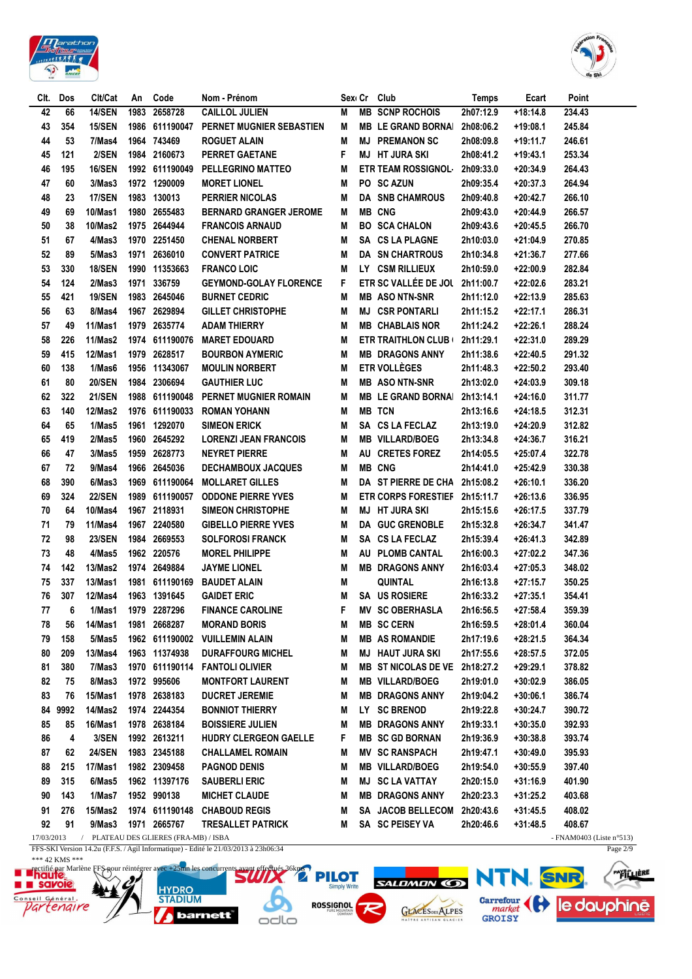



| CIt.       | Dos            | Clt/Cat        | An   | Code                                | Nom - Prénom                                                                        |   | Sexi Cr | Club                          | <b>Temps</b> | Ecart      | Point                       |
|------------|----------------|----------------|------|-------------------------------------|-------------------------------------------------------------------------------------|---|---------|-------------------------------|--------------|------------|-----------------------------|
| 42         | 66             | <b>14/SEN</b>  | 1983 | 2658728                             | <b>CAILLOL JULIEN</b>                                                               | M | MВ      | <b>SCNP ROCHOIS</b>           | 2h07:12.9    | $+18:14.8$ | 234.43                      |
| 43         | 354            | <b>15/SEN</b>  | 1986 | 611190047                           | PERNET MUGNIER SEBASTIEN                                                            | Μ |         | <b>MB LE GRAND BORNAI</b>     | 2h08:06.2    | +19:08.1   | 245.84                      |
| 44         | 53             | 7/Mas4         |      | 1964 743469                         | <b>ROGUET ALAIN</b>                                                                 | Μ | MJ      | <b>PREMANON SC</b>            | 2h08:09.8    | +19:11.7   | 246.61                      |
| 45         | 121            | 2/SEN          |      | 1984 2160673                        | <b>PERRET GAETANE</b>                                                               | F |         | <b>MJ HT JURA SKI</b>         | 2h08:41.2    | +19:43.1   | 253.34                      |
| 46         | 195            | <b>16/SEN</b>  |      | 1992 611190049                      | <b>PELLEGRINO MATTEO</b>                                                            | M |         | <b>ETR TEAM ROSSIGNOL-</b>    | 2h09:33.0    | +20:34.9   | 264.43                      |
| 47         | 60             | 3/Mas3         |      | 1972 1290009                        | <b>MORET LIONEL</b>                                                                 | Μ |         | PO SC AZUN                    | 2h09:35.4    | +20:37.3   | 264.94                      |
| 48         | 23             | <b>17/SEN</b>  |      | 1983 130013                         | <b>PERRIER NICOLAS</b>                                                              | Μ |         | <b>DA SNB CHAMROUS</b>        | 2h09:40.8    | $+20:42.7$ | 266.10                      |
| 49         | 69             | 10/Mas1        |      | 1980 2655483                        | <b>BERNARD GRANGER JEROME</b>                                                       | M |         | <b>MB CNG</b>                 | 2h09:43.0    | $+20:44.9$ | 266.57                      |
| 50         | 38             | <b>10/Mas2</b> |      | 1975 2644944                        | <b>FRANCOIS ARNAUD</b>                                                              | Μ |         | <b>BO SCA CHALON</b>          | 2h09:43.6    | $+20:45.5$ | 266.70                      |
| 51         | 67             | 4/Mas3         |      | 1970 2251450                        | <b>CHENAL NORBERT</b>                                                               | M |         | SA CS LA PLAGNE               | 2h10:03.0    | +21:04.9   | 270.85                      |
| 52         | 89             | 5/Mas3         | 1971 | 2636010                             | <b>CONVERT PATRICE</b>                                                              | M |         | <b>DA SN CHARTROUS</b>        | 2h10:34.8    | +21:36.7   | 277.66                      |
| 53         | 330            | <b>18/SEN</b>  |      | 1990 11353663                       | <b>FRANCO LOIC</b>                                                                  | M |         | LY CSM RILLIEUX               | 2h10:59.0    | $+22:00.9$ | 282.84                      |
| 54         | 124            | 2/Mas3         | 1971 | 336759                              | <b>GEYMOND-GOLAY FLORENCE</b>                                                       | F |         | <b>ETR SC VALLÉE DE JOL</b>   | 2h11:00.7    | $+22:02.6$ | 283.21                      |
| 55         | 421            | <b>19/SEN</b>  | 1983 | 2645046                             | <b>BURNET CEDRIC</b>                                                                | M |         | <b>MB ASO NTN-SNR</b>         | 2h11:12.0    | $+22:13.9$ | 285.63                      |
| 56         | 63             | 8/Mas4         | 1967 | 2629894                             | <b>GILLET CHRISTOPHE</b>                                                            | M | MJ      | <b>CSR PONTARLI</b>           | 2h11:15.2    | $+22:17.1$ | 286.31                      |
| 57         | 49             | 11/Mas1        | 1979 | 2635774                             | <b>ADAM THIERRY</b>                                                                 | M |         | <b>MB CHABLAIS NOR</b>        | 2h11:24.2    | $+22:26.1$ | 288.24                      |
| 58         | 226            | 11/Mas2        |      | 1974 611190076                      | <b>MARET EDOUARD</b>                                                                | M |         | <b>ETR TRAITHLON CLUB (</b>   | 2h11:29.1    | $+22:31.0$ | 289.29                      |
| 59         | 415            | 12/Mas1        | 1979 | 2628517                             | <b>BOURBON AYMERIC</b>                                                              | М |         | <b>MB DRAGONS ANNY</b>        | 2h11:38.6    | $+22:40.5$ | 291.32                      |
| 60         | 138            | 1/Mas6         |      | 1956 11343067                       | <b>MOULIN NORBERT</b>                                                               | М |         | <b>ETR VOLLÈGES</b>           | 2h11:48.3    | +22:50.2   | 293.40                      |
| 61         | 80             | <b>20/SEN</b>  | 1984 | 2306694                             | <b>GAUTHIER LUC</b>                                                                 | Μ |         | <b>MB ASO NTN-SNR</b>         | 2h13:02.0    | $+24:03.9$ | 309.18                      |
| 62         | 322            | <b>21/SEN</b>  |      | 1988 611190048                      | PERNET MUGNIER ROMAIN                                                               | Μ |         | <b>MB LE GRAND BORNAI</b>     | 2h13:14.1    | +24:16.0   | 311.77                      |
| 63         |                | 12/Mas2        |      | 1976 611190033                      |                                                                                     |   |         | <b>MB TCN</b>                 |              |            |                             |
|            | 140            |                |      | 1961 1292070                        | <b>ROMAN YOHANN</b>                                                                 | Μ |         |                               | 2h13:16.6    | $+24:18.5$ | 312.31                      |
| 64         | 65             | 1/Mas5         |      |                                     | <b>SIMEON ERICK</b>                                                                 | Μ |         | SA CS LA FECLAZ               | 2h13:19.0    | +24:20.9   | 312.82                      |
| 65         | 419            | 2/Mas5         | 1960 | 2645292                             | <b>LORENZI JEAN FRANCOIS</b>                                                        | Μ |         | <b>MB VILLARD/BOEG</b>        | 2h13:34.8    | +24:36.7   | 316.21                      |
| 66         | 47             | 3/Mas5         | 1959 | 2628773                             | <b>NEYRET PIERRE</b>                                                                | Μ |         | AU CRETES FOREZ               | 2h14:05.5    | +25:07.4   | 322.78                      |
| 67         | 72             | 9/Mas4         | 1966 | 2645036                             | <b>DECHAMBOUX JACQUES</b>                                                           | M |         | <b>MB CNG</b>                 | 2h14:41.0    | +25:42.9   | 330.38                      |
| 68         | 390            | 6/Mas3         |      | 1969 611190064                      | <b>MOLLARET GILLES</b>                                                              | M |         | DA ST PIERRE DE CHA           | 2h15:08.2    | +26:10.1   | 336.20                      |
| 69         | 324            | <b>22/SEN</b>  |      | 1989 611190057                      | <b>ODDONE PIERRE YVES</b>                                                           | M |         | <b>ETR CORPS FORESTIEF</b>    | 2h15:11.7    | $+26:13.6$ | 336.95                      |
| 70         | 64             | $10/M$ as4     |      | 1967 2118931                        | <b>SIMEON CHRISTOPHE</b>                                                            | Μ |         | <b>MJ HT JURA SKI</b>         | 2h15:15.6    | +26:17.5   | 337.79                      |
| 71         | 79             | 11/Mas4        |      | 1967 2240580                        | <b>GIBELLO PIERRE YVES</b>                                                          | Μ |         | <b>DA GUC GRENOBLE</b>        | 2h15:32.8    | +26:34.7   | 341.47                      |
| 72         | 98             | <b>23/SEN</b>  |      | 1984 2669553                        | <b>SOLFOROSI FRANCK</b>                                                             | Μ |         | SA CS LA FECLAZ               | 2h15:39.4    | $+26:41.3$ | 342.89                      |
| 73         | 48             | 4/Mas5         |      | 1962 220576                         | <b>MOREL PHILIPPE</b>                                                               | Μ |         | AU PLOMB CANTAL               | 2h16:00.3    | $+27:02.2$ | 347.36                      |
| 74         | 142            | 13/Mas2        |      | 1974 2649884                        | <b>JAYME LIONEL</b>                                                                 | Μ |         | <b>MB DRAGONS ANNY</b>        | 2h16:03.4    | $+27:05.3$ | 348.02                      |
| 75         | 337            | 13/Mas1        |      | 1981 611190169                      | <b>BAUDET ALAIN</b>                                                                 | Μ |         | QUINTAL                       | 2h16:13.8    | +27:15.7   | 350.25                      |
| 76         | 307            | <b>12/Mas4</b> |      | 1963 1391645                        | <b>GAIDET ERIC</b>                                                                  | М |         | SA US ROSIERE                 | 2h16:33.2    | $+27:35.1$ | 354.41                      |
| 77         | 6              | 1/Mas1         |      | 1979 2287296                        | <b>FINANCE CAROLINE</b>                                                             | F |         | <b>MV SC OBERHASLA</b>        | 2h16:56.5    | $+27:58.4$ | 359.39                      |
| 78         | 56             | 14/Mas1        |      | 1981 2668287                        | <b>MORAND BORIS</b>                                                                 | M |         | <b>MB SC CERN</b>             | 2h16:59.5    | $+28:01.4$ | 360.04                      |
| 79         | 158            | 5/Mas5         |      |                                     | 1962 611190002 VUILLEMIN ALAIN                                                      | M |         | <b>MB AS ROMANDIE</b>         | 2h17:19.6    | $+28:21.5$ | 364.34                      |
| 80         | 209            | 13/Mas4        |      | 1963 11374938                       | <b>DURAFFOURG MICHEL</b>                                                            | M |         | <b>MJ HAUT JURA SKI</b>       | 2h17:55.6    | $+28:57.5$ | 372.05                      |
| 81         | 380            | 7/Mas3         |      | 1970 611190114                      | <b>FANTOLI OLIVIER</b>                                                              | M |         | MB ST NICOLAS DE VE 2h18:27.2 |              | +29:29.1   | 378.82                      |
| 82         | 75             | 8/Mas3         |      | 1972 995606                         | <b>MONTFORT LAURENT</b>                                                             | M |         | <b>MB VILLARD/BOEG</b>        | 2h19:01.0    | $+30:02.9$ | 386.05                      |
| 83         | 76             | 15/Mas1        |      | 1978 2638183                        | <b>DUCRET JEREMIE</b>                                                               | M |         | <b>MB DRAGONS ANNY</b>        | 2h19:04.2    | $+30:06.1$ | 386.74                      |
| 84         | 9992           | 14/Mas2        |      | 1974 2244354                        | <b>BONNIOT THIERRY</b>                                                              | M |         | LY SC BRENOD                  | 2h19:22.8    | $+30:24.7$ | 390.72                      |
| 85         | 85             | 16/Mas1        |      | 1978 2638184                        | <b>BOISSIERE JULIEN</b>                                                             | M |         | <b>MB DRAGONS ANNY</b>        | 2h19:33.1    | $+30:35.0$ | 392.93                      |
| 86         | 4              | 3/SEN          |      | 1992 2613211                        | HUDRY CLERGEON GAELLE                                                               | F |         | <b>MB SC GD BORNAN</b>        | 2h19:36.9    | $+30:38.8$ | 393.74                      |
| 87         | 62             | <b>24/SEN</b>  |      | 1983 2345188                        | <b>CHALLAMEL ROMAIN</b>                                                             | M |         | <b>MV SC RANSPACH</b>         | 2h19:47.1    | $+30:49.0$ | 395.93                      |
| 88         | 215            | 17/Mas1        |      | 1982 2309458                        | <b>PAGNOD DENIS</b>                                                                 | Μ |         | <b>MB VILLARD/BOEG</b>        | 2h19:54.0    | $+30:55.9$ | 397.40                      |
| 89         | 315            | 6/Mas5         |      | 1962 11397176                       | <b>SAUBERLI ERIC</b>                                                                | M |         | <b>MJ SC LA VATTAY</b>        | 2h20:15.0    | +31:16.9   | 401.90                      |
| 90         | 143            | 1/Mas7         |      | 1952 990138                         | <b>MICHET CLAUDE</b>                                                                | M |         | <b>MB DRAGONS ANNY</b>        | 2h20:23.3    | +31:25.2   | 403.68                      |
| 91         | 276            | 15/Mas2        |      |                                     | 1974 611190148 CHABOUD REGIS                                                        | Μ |         | SA JACOB BELLECOM             | 2h20:43.6    | $+31:45.5$ | 408.02                      |
| 92         | 91             | 9/Mas3         |      | 1971 2665767                        | <b>TRESALLET PATRICK</b>                                                            | Μ |         | SA SC PEISEY VA               | 2h20:46.6    | $+31:48.5$ | 408.67                      |
| 17/03/2013 |                | $\sqrt{2}$     |      | PLATEAU DES GLIERES (FRA-MB) / ISBA |                                                                                     |   |         |                               |              |            | - FNAM0403 (Liste $n°513$ ) |
|            |                |                |      |                                     | FFS-SKI Version 14.2u (F.F.S. / Agil Informatique) - Edité le 21/03/2013 à 23h06:34 |   |         |                               |              |            | Page $2/9$                  |
|            | *** 42 KMS *** |                |      |                                     |                                                                                     |   |         |                               |              |            |                             |

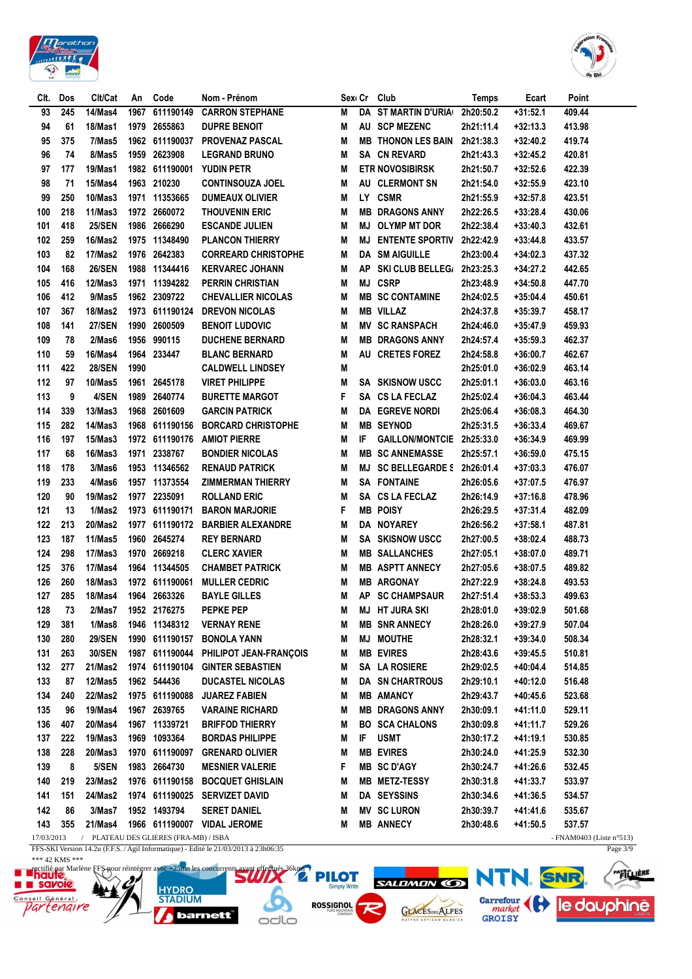



| Clt.              | Dos | Clt/Cat        | An   | Code                                  | Nom - Prénom                                                                        |   |      | Sex Cr Club                | Temps     | Ecart      | Point                                 |
|-------------------|-----|----------------|------|---------------------------------------|-------------------------------------------------------------------------------------|---|------|----------------------------|-----------|------------|---------------------------------------|
| 93                | 245 | 14/Mas4        | 1967 | 611190149                             | <b>CARRON STEPHANE</b>                                                              | M | DA   | <b>ST MARTIN D'URIA</b>    | 2h20:50.2 | $+31:52.1$ | 409.44                                |
| 94                | 61  | 18/Mas1        | 1979 | 2655863                               | <b>DUPRE BENOIT</b>                                                                 | M |      | AU SCP MEZENC              | 2h21:11.4 | $+32:13.3$ | 413.98                                |
| 95                | 375 | 7/Mas5         |      | 1962 611190037                        | <b>PROVENAZ PASCAL</b>                                                              | M | MB   | <b>THONON LES BAIN</b>     | 2h21:38.3 | +32:40.2   | 419.74                                |
| 96                | 74  | 8/Mas5         | 1959 | 2623908                               | <b>LEGRAND BRUNO</b>                                                                | M |      | SA CN REVARD               | 2h21:43.3 | +32:45.2   | 420.81                                |
| 97                | 177 | <b>19/Mas1</b> |      | 1982 611190001                        | <b>YUDIN PETR</b>                                                                   | M |      | <b>ETR NOVOSIBIRSK</b>     | 2h21:50.7 | $+32:52.6$ | 422.39                                |
| 98                | 71  | 15/Mas4        |      | 1963 210230                           | <b>CONTINSOUZA JOEL</b>                                                             | M | AU   | <b>CLERMONT SN</b>         | 2h21:54.0 | $+32:55.9$ | 423.10                                |
| 99                | 250 | 10/Mas3        |      | 1971 11353665                         | <b>DUMEAUX OLIVIER</b>                                                              | M | LY . | <b>CSMR</b>                | 2h21:55.9 | $+32:57.8$ | 423.51                                |
| 100               | 218 | 11/Mas3        |      | 1972 2660072                          | <b>THOUVENIN ERIC</b>                                                               | M | MВ   | <b>DRAGONS ANNY</b>        | 2h22:26.5 | $+33:28.4$ | 430.06                                |
| 101               | 418 | <b>25/SEN</b>  |      | 1986 2666290                          | <b>ESCANDE JULIEN</b>                                                               | M | MJ   | <b>OLYMP MT DOR</b>        | 2h22:38.4 | $+33:40.3$ | 432.61                                |
| 102               | 259 | 16/Mas2        |      | 1975 11348490                         | <b>PLANCON THIERRY</b>                                                              | M | MJ   | <b>ENTENTE SPORTIV</b>     | 2h22:42.9 | $+33:44.8$ | 433.57                                |
| 103               | 82  | 17/Mas2        |      | 1976 2642383                          | <b>CORREARD CHRISTOPHE</b>                                                          | M | DA   | <b>SM AIGUILLE</b>         | 2h23:00.4 | $+34:02.3$ | 437.32                                |
| 104               | 168 | <b>26/SEN</b>  |      | 1988 11344416                         | <b>KERVAREC JOHANN</b>                                                              | M | ΑP   | SKI CLUB BELLEG/ 2h23:25.3 |           | +34:27.2   | 442.65                                |
| 105               | 416 | 12/Mas3        |      | 1971 11394282                         | <b>PERRIN CHRISTIAN</b>                                                             | M | MJ   | <b>CSRP</b>                | 2h23:48.9 | $+34:50.8$ | 447.70                                |
| 106               | 412 | 9/Mas5         |      | 1962 2309722                          | <b>CHEVALLIER NICOLAS</b>                                                           | M |      | <b>MB SC CONTAMINE</b>     | 2h24:02.5 | $+35:04.4$ | 450.61                                |
| 107               | 367 | 18/Mas2        |      | 1973 611190124                        | <b>DREVON NICOLAS</b>                                                               | M |      | <b>MB VILLAZ</b>           | 2h24:37.8 | $+35:39.7$ | 458.17                                |
| 108               | 141 | <b>27/SEN</b>  | 1990 | 2600509                               | <b>BENOIT LUDOVIC</b>                                                               | M | ΜV   | <b>SC RANSPACH</b>         | 2h24:46.0 | $+35:47.9$ | 459.93                                |
| 109               | 78  | 2/Mas6         |      | 1956 990115                           | <b>DUCHENE BERNARD</b>                                                              | M | MВ   | <b>DRAGONS ANNY</b>        | 2h24:57.4 | $+35:59.3$ | 462.37                                |
| 110               | 59  | 16/Mas4        |      | 1964 233447                           | <b>BLANC BERNARD</b>                                                                | M | AU   | <b>CRETES FOREZ</b>        | 2h24:58.8 | $+36:00.7$ | 462.67                                |
| 111               | 422 | <b>28/SEN</b>  | 1990 |                                       | <b>CALDWELL LINDSEY</b>                                                             | M |      |                            | 2h25:01.0 | $+36:02.9$ | 463.14                                |
| 112               | 97  | <b>10/Mas5</b> |      | 1961 2645178                          | <b>VIRET PHILIPPE</b>                                                               | M |      | <b>SA SKISNOW USCC</b>     | 2h25:01.1 | $+36:03.0$ | 463.16                                |
| 113               | 9   | 4/SEN          | 1989 | 2640774                               | <b>BURETTE MARGOT</b>                                                               | F | SA   | <b>CS LA FECLAZ</b>        | 2h25:02.4 | $+36:04.3$ | 463.44                                |
| 114               | 339 | 13/Mas3        |      | 1968 2601609                          | <b>GARCIN PATRICK</b>                                                               | M |      | <b>DA EGREVE NORDI</b>     | 2h25:06.4 | $+36:08.3$ | 464.30                                |
| 115               | 282 | 14/Mas3        |      | 1968 611190156                        | <b>BORCARD CHRISTOPHE</b>                                                           | M |      | <b>MB SEYNOD</b>           | 2h25:31.5 | $+36:33.4$ | 469.67                                |
| 116               | 197 | 15/Mas3        |      | 1972 611190176                        | <b>AMIOT PIERRE</b>                                                                 | M | IF.  | GAILLON/MONTCIE 2h25:33.0  |           | $+36:34.9$ | 469.99                                |
| 117               | 68  | 16/Mas3        | 1971 | 2338767                               | <b>BONDIER NICOLAS</b>                                                              | M | MВ   | <b>SC ANNEMASSE</b>        | 2h25:57.1 | $+36:59.0$ | 475.15                                |
| 118               | 178 | 3/Mas6         |      | 1953 11346562                         | <b>RENAUD PATRICK</b>                                                               | M | MJ   | <b>SC BELLEGARDE S</b>     | 2h26:01.4 | $+37:03.3$ | 476.07                                |
| 119               | 233 | 4/Mas6         |      | 1957 11373554                         | <b>ZIMMERMAN THIERRY</b>                                                            | M | SA   | <b>FONTAINE</b>            | 2h26:05.6 | +37:07.5   | 476.97                                |
| 120               | 90  | 19/Mas2        |      | 1977 2235091                          | ROLLAND ERIC                                                                        | M | SA   | <b>CS LA FECLAZ</b>        | 2h26:14.9 | $+37:16.8$ | 478.96                                |
| 121               | 13  | 1/Mas2         |      | 1973 611190171                        | <b>BARON MARJORIE</b>                                                               | F | MВ   | <b>POISY</b>               | 2h26:29.5 | $+37:31.4$ | 482.09                                |
| 122               | 213 | 20/Mas2        |      |                                       | 1977 611190172 BARBIER ALEXANDRE                                                    | M |      | DA NOYAREY                 | 2h26:56.2 | +37:58.1   | 487.81                                |
| 123               | 187 | 11/Mas5        | 1960 | 2645274                               | <b>REY BERNARD</b>                                                                  | M |      | <b>SA SKISNOW USCC</b>     | 2h27:00.5 | $+38:02.4$ | 488.73                                |
| 124               | 298 | 17/Mas3        | 1970 | 2669218                               | <b>CLERC XAVIER</b>                                                                 | M |      | <b>MB SALLANCHES</b>       | 2h27:05.1 | +38:07.0   | 489.71                                |
| 125               | 376 | 17/Mas4        |      | 1964 11344505                         | <b>CHAMBET PATRICK</b>                                                              | M |      | <b>MB ASPTT ANNECY</b>     | 2h27:05.6 | $+38:07.5$ | 489.82                                |
| 126               | 260 | <b>18/Mas3</b> |      | 1972 611190061                        | <b>MULLER CEDRIC</b>                                                                | Μ |      | <b>MB ARGONAY</b>          | 2h27:22.9 | $+38:24.8$ | 493.53                                |
| 127               | 285 | <b>18/Mas4</b> |      | 1964 2663326                          | <b>BAYLE GILLES</b>                                                                 | Μ | ΑP   | <b>SC CHAMPSAUR</b>        | 2h27:51.4 | $+38:53.3$ | 499.63                                |
| 128               | 73  | 2/Mas7         |      | 1952 2176275                          | PEPKE PEP                                                                           | M |      | <b>MJ HT JURA SKI</b>      | 2h28:01.0 | $+39:02.9$ | 501.68                                |
| 129               | 381 | 1/Mas8         |      | 1946 11348312                         | <b>VERNAY RENE</b>                                                                  | M |      | <b>MB SNR ANNECY</b>       | 2h28:26.0 | +39:27.9   | 507.04                                |
| 130               | 280 | <b>29/SEN</b>  |      | 1990 611190157                        | <b>BONOLA YANN</b>                                                                  | M | MJ   | <b>MOUTHE</b>              | 2h28:32.1 | $+39:34.0$ | 508.34                                |
| 131               | 263 | <b>30/SEN</b>  |      | 1987 611190044                        | PHILIPOT JEAN-FRANÇOIS                                                              | M |      | <b>MB EVIRES</b>           | 2h28:43.6 | $+39:45.5$ | 510.81                                |
| 132               | 277 | 21/Mas2        |      |                                       | 1974 611190104 GINTER SEBASTIEN                                                     | M |      | SA LA ROSIERE              | 2h29:02.5 | $+40:04.4$ | 514.85                                |
| 133               | 87  | 12/Mas5        |      | 1962 544436                           | <b>DUCASTEL NICOLAS</b>                                                             | M |      | <b>DA SN CHARTROUS</b>     | 2h29:10.1 | +40:12.0   | 516.48                                |
| 134               | 240 | 22/Mas2        |      | 1975 611190088                        | <b>JUAREZ FABIEN</b>                                                                | M |      | <b>MB AMANCY</b>           | 2h29:43.7 | $+40:45.6$ | 523.68                                |
| 135               | 96  | <b>19/Mas4</b> |      | 1967 2639765                          | <b>VARAINE RICHARD</b>                                                              | M |      | <b>MB DRAGONS ANNY</b>     | 2h30:09.1 | +41:11.0   | 529.11                                |
| 136               | 407 | 20/Mas4        |      | 1967 11339721                         | <b>BRIFFOD THIERRY</b>                                                              | M | BO.  | <b>SCA CHALONS</b>         | 2h30:09.8 | +41:11.7   | 529.26                                |
| 137               | 222 | 19/Mas3        |      | 1969 1093364                          | <b>BORDAS PHILIPPE</b>                                                              | M | IF.  | <b>USMT</b>                | 2h30:17.2 | +41:19.1   | 530.85                                |
| 138               | 228 | 20/Mas3        |      | 1970 611190097                        | <b>GRENARD OLIVIER</b>                                                              |   |      | <b>MB EVIRES</b>           | 2h30:24.0 | +41:25.9   | 532.30                                |
|                   |     |                |      |                                       |                                                                                     | M |      |                            | 2h30:24.7 |            |                                       |
| 139               | 8   | 5/SEN          |      | 1983 2664730                          | <b>MESNIER VALERIE</b>                                                              | F |      | <b>MB SC D'AGY</b>         |           | +41:26.6   | 532.45                                |
| 140               | 219 | 23/Mas2        |      | 1976 611190158                        | <b>BOCQUET GHISLAIN</b>                                                             | M |      | MB METZ-TESSY              | 2h30:31.8 | +41:33.7   | 533.97                                |
| 141               | 151 | 24/Mas2        |      |                                       | 1974 611190025 SERVIZET DAVID                                                       | M |      | DA SEYSSINS                | 2h30:34.6 | +41:36.5   | 534.57                                |
| 142               | 86  | 3/Mas7         |      | 1952 1493794                          | <b>SERET DANIEL</b>                                                                 | M |      | <b>MV SC LURON</b>         | 2h30:39.7 | +41:41.6   | 535.67                                |
| 143<br>17/03/2013 | 355 | 21/Mas4        |      | / PLATEAU DES GLIERES (FRA-MB) / ISBA | 1966 611190007 VIDAL JEROME                                                         | M |      | <b>MB ANNECY</b>           | 2h30:48.6 | $+41:50.5$ | 537.57<br>- FNAM0403 (Liste $n°513$ ) |
|                   |     |                |      |                                       | FFS-SKI Version 14.2u (F.F.S. / Agil Informatique) - Edité le 21/03/2013 à 23h06:35 |   |      |                            |           |            | Page $3/9$                            |

*barnett* 

FFS-SKI Version 14.2u (F.F.S. / Agil Informatique) - Edite le 21/03/2013 à 23h06:35<br>
The distribution of the HS-Rout reintégrer avec +25mm les concurrents and the distribution of the State of the State of the State of the で  $\Box$ 

GLACESDES ALPES

FALLIERE SALDMON OR NTN. SNR. Garrefour (et le douphine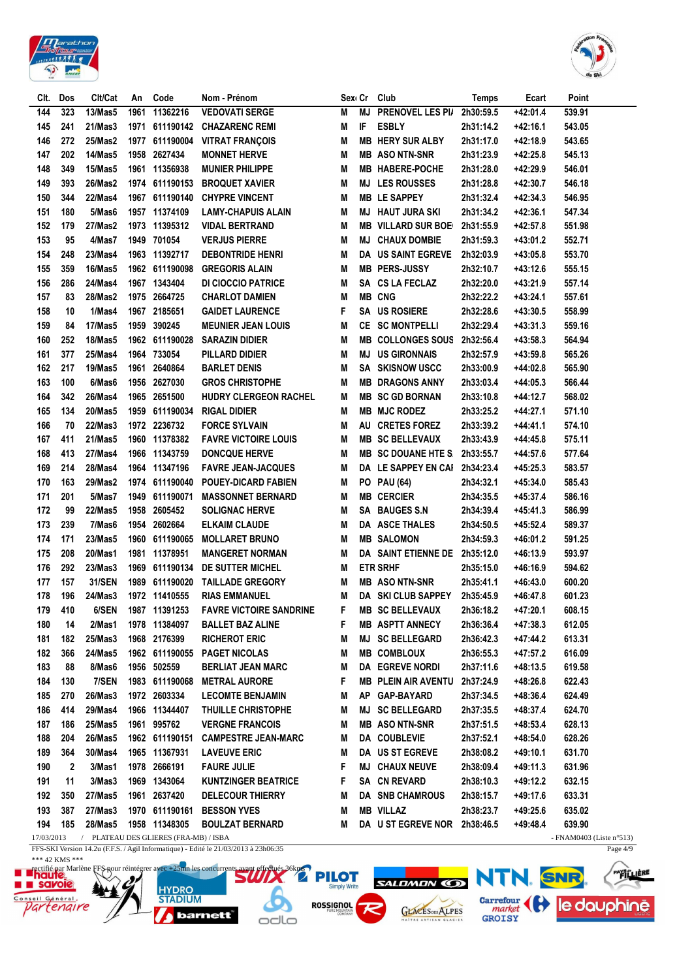



| 323<br><b>VEDOVATI SERGE</b><br>PRENOVEL LES PI/<br>144<br><b>13/Mas5</b><br>1961<br>11362216<br><b>MJ</b><br>2h30:59.5<br>+42:01.4<br>539.91<br>Μ<br>IF<br><b>ESBLY</b><br>241<br>21/Mas3<br>611190142<br>543.05<br>145<br>1971<br><b>CHAZARENC REMI</b><br>Μ<br>2h31:14.2<br>+42:16.1<br>146<br>272<br>25/Mas2<br><b>MB HERY SUR ALBY</b><br>1977<br>611190004<br><b>VITRAT FRANÇOIS</b><br>M<br>2h31:17.0<br>+42:18.9<br>543.65<br>147<br>202<br><b>14/Mas5</b><br>1958<br>2627434<br><b>MONNET HERVE</b><br>M<br><b>MB ASO NTN-SNR</b><br>545.13<br>2h31:23.9<br>+42:25.8<br>148<br>349<br><b>15/Mas5</b><br>1961 11356938<br>546.01<br><b>MUNIER PHILIPPE</b><br>M<br><b>MB HABERE-POCHE</b><br>2h31:28.0<br>+42:29.9<br>149<br>393<br>26/Mas2<br>1974 611190153<br><b>MJ LES ROUSSES</b><br>546.18<br><b>BROQUET XAVIER</b><br>M<br>2h31:28.8<br>+42:30.7<br>150<br>344<br><b>22/Mas4</b><br>1967<br><b>MB LE SAPPEY</b><br>546.95<br>611190140<br><b>CHYPRE VINCENT</b><br>M<br>2h31:32.4<br>+42:34.3<br>151<br>180<br>5/Mas6<br>1957 11374109<br>547.34<br>LAMY-CHAPUIS ALAIN<br>M<br><b>MJ HAUT JURA SKI</b><br>2h31:34.2<br>+42:36.1<br>152<br>179<br>27/Mas2<br>1973 11395312<br><b>VIDAL BERTRAND</b><br>M<br><b>MB VILLARD SUR BOE</b><br>2h31:55.9<br>+42:57.8<br>551.98<br>153<br>95<br>4/Mas7<br>1949<br>701054<br><b>VERJUS PIERRE</b><br><b>CHAUX DOMBIE</b><br>552.71<br>M<br>MJ<br>2h31:59.3<br>+43:01.2<br>154<br>248<br>23/Mas4<br>1963 11392717<br><b>DA US SAINT EGREVE</b><br>553.70<br><b>DEBONTRIDE HENRI</b><br>M<br>2h32:03.9<br>+43:05.8<br>155<br>359<br>16/Mas5<br>1962 611190098<br><b>GREGORIS ALAIN</b><br><b>MB PERS-JUSSY</b><br>555.15<br>M<br>2h32:10.7<br>+43:12.6<br>156<br>286<br>24/Mas4<br>1967 1343404<br>SA CS LA FECLAZ<br>557.14<br><b>DI CIOCCIO PATRICE</b><br>M<br>2h32:20.0<br>+43:21.9<br><b>MB CNG</b><br>83<br><b>28/Mas2</b><br>1975<br>2664725<br>157<br><b>CHARLOT DAMIEN</b><br>M<br>2h32:22.2<br>+43:24.1<br>557.61<br>1/Mas4<br>2185651<br>F<br><b>SA US ROSIERE</b><br>158<br>10<br>1967<br><b>GAIDET LAURENCE</b><br>2h32:28.6<br>+43:30.5<br>558.99<br>17/Mas5<br>390245<br><b>SC MONTPELLI</b><br>159<br>84<br>1959<br><b>MEUNIER JEAN LOUIS</b><br>M<br>CE<br>2h32:29.4<br>$+43:31.3$<br>559.16<br>252<br><b>18/Mas5</b><br><b>COLLONGES SOUS</b><br>564.94<br>160<br>1962<br>611190028<br><b>SARAZIN DIDIER</b><br>MB<br>2h32:56.4<br>+43:58.3<br>M<br>377<br>25/Mas4<br>1964 733054<br><b>US GIRONNAIS</b><br>565.26<br>161<br>PILLARD DIDIER<br>2h32:57.9<br>+43:59.8<br>M<br>MJ<br>162<br>217<br><b>19/Mas5</b><br>2640864<br><b>SA SKISNOW USCC</b><br>565.90<br>1961<br>BARLET DENIS<br>2h33:00.9<br>+44:02.8<br>M<br>163<br>100<br>6/Mas6<br>2627030<br>1956<br><b>GROS CHRISTOPHE</b><br><b>MB DRAGONS ANNY</b><br>2h33:03.4<br>566.44<br>M<br>+44:05.3<br>164<br>342<br>26/Mas4<br><b>HUDRY CLERGEON RACHEL</b><br>1965<br>2651500<br>M<br><b>MB SC GD BORNAN</b><br>2h33:10.8<br>+44:12.7<br>568.02<br>20/Mas5<br>165<br>134<br>1959<br>611190034<br><b>RIGAL DIDIER</b><br>Μ<br><b>MB MJC RODEZ</b><br>2h33:25.2<br>+44:27.1<br>571.10<br>166<br>22/Mas3<br><b>CRETES FOREZ</b><br>70<br>1972 2236732<br><b>FORCE SYLVAIN</b><br>Μ<br>AU<br>2h33:39.2<br>+44:41.1<br>574.10<br>167<br>411<br>21/Mas5<br>1960<br>11378382<br>M<br><b>FAVRE VICTOIRE LOUIS</b><br><b>MB SC BELLEVAUX</b><br>2h33:43.9<br>575.11<br>+44:45.8<br>168<br>413<br>27/Mas4<br>1966 11343759<br>M<br><b>DONCQUE HERVE</b><br><b>MB SC DOUANE HTE S.</b><br>2h33:55.7<br>577.64<br>+44:57.6<br>169<br>214<br><b>28/Mas4</b><br>1964 11347196<br>M<br>DA LE SAPPEY EN CAI<br><b>FAVRE JEAN-JACQUES</b><br>2h34:23.4<br>+45:25.3<br>583.57<br>163<br><b>29/Mas2</b><br>170<br>1974<br>611190040<br><b>POUEY-DICARD FABIEN</b><br>M<br><b>PO PAU (64)</b><br>2h34:32.1<br>585.43<br>+45:34.0<br>171<br>201<br><b>MB CERCIER</b><br>5/Mas7<br>1949<br>611190071<br><b>MASSONNET BERNARD</b><br>M<br>2h34:35.5<br>+45:37.4<br>586.16<br>172<br>99<br>22/Mas5<br>2605452<br>1958<br><b>SOLIGNAC HERVE</b><br>Μ<br>SA BAUGES S.N<br>2h34:39.4<br>+45:41.3<br>586.99<br>173<br>239<br>7/Mas6<br>1954<br>2602664<br>DA ASCE THALES<br>ELKAIM CLAUDE<br>Μ<br>589.37<br>2h34:50.5<br>+45:52.4<br>174<br>171<br>23/Mas5<br>1960<br><b>MB SALOMON</b><br>591.25<br>611190065<br><b>MOLLARET BRUNO</b><br>Μ<br>2h34:59.3<br>+46:01.2<br>175<br>208<br>20/Mas1<br>1981<br><b>DA SAINT ETIENNE DE</b><br>11378951<br><b>MANGERET NORMAN</b><br>M<br>2h35:12.0<br>593.97<br>+46:13.9<br>176<br>292<br>23/Mas3<br><b>ETR SRHF</b><br>594.62<br>1969<br>611190134<br>DE SUTTER MICHEL<br>M<br>2h35:15.0<br>+46:16.9<br>157<br><b>31/SEN</b><br>177<br>1989<br>611190020<br><b>TAILLADE GREGORY</b><br><b>MB ASONTN-SNR</b><br>2h35:41.1<br>600.20<br>M<br>+46:43.0<br>178<br>196<br>24/Mas3<br>1972 11410555<br><b>RIAS EMMANUEL</b><br>DA SKI CLUB SAPPEY<br>601.23<br>M<br>2h35:45.9<br>+46:47.8<br>F<br>179<br>410<br>6/SEN<br>1987 11391253<br><b>MB SC BELLEVAUX</b><br><b>FAVRE VICTOIRE SANDRINE</b><br>2h36:18.2<br>+47:20.1<br>608.15<br>180<br>14<br>2/Mas1<br>1978 11384097<br><b>BALLET BAZ ALINE</b><br>F<br><b>MB ASPTT ANNECY</b><br>2h36:36.4<br>$+47:38.3$<br>612.05<br>25/Mas3<br>1968 2176399<br><b>RICHEROT ERIC</b><br><b>MJ SC BELLEGARD</b><br>613.31<br>181<br>182<br>M<br>2h36:42.3<br>$+47:44.2$<br>366<br>182<br>24/Mas5<br>1962 611190055<br><b>PAGET NICOLAS</b><br><b>MB COMBLOUX</b><br>2h36:55.3<br>+47:57.2<br>616.09<br>M<br>1956 502559<br><b>DA EGREVE NORDI</b><br>183<br>88<br>8/Mas6<br><b>BERLIAT JEAN MARC</b><br>M<br>2h37:11.6<br>$+48:13.5$<br>619.58<br>7/SEN<br>1983 611190068<br>F<br><b>MB PLEIN AIR AVENTU</b><br>622.43<br>184<br>130<br><b>METRAL AURORE</b><br>2h37:24.9<br>+48:26.8<br>1972 2603334<br>270<br>26/Mas3<br><b>LECOMTE BENJAMIN</b><br>AP GAP-BAYARD<br>2h37:34.5<br>$+48:36.4$<br>624.49<br>185<br>M<br>29/Mas4<br>1966 11344407<br><b>MJ SC BELLEGARD</b><br>186<br>414<br><b>THUILLE CHRISTOPHE</b><br>2h37:35.5<br>$+48:37.4$<br>624.70<br>M<br>25/Mas5<br>1961 995762<br>628.13<br>187<br>186<br><b>VERGNE FRANCOIS</b><br><b>MB ASONTN-SNR</b><br>2h37:51.5<br>+48:53.4<br>M<br>26/Mas5<br>DA COUBLEVIE<br>188<br>204<br>1962 611190151<br><b>CAMPESTRE JEAN-MARC</b><br>2h37:52.1<br>628.26<br>M<br>+48:54.0<br>30/Mas4<br>189<br>364<br>1965 11367931<br><b>LAVEUVE ERIC</b><br>DA US ST EGREVE<br>2h38:08.2<br>631.70<br>M<br>+49:10.1<br>3/Mas1<br>1978 2666191<br>F<br>631.96<br>190<br>2<br><b>FAURE JULIE</b><br><b>MJ CHAUX NEUVE</b><br>2h38:09.4<br>$+49:11.3$<br>F<br>SA CN REVARD<br>191<br>11<br>3/Mas3<br>1969 1343064<br><b>KUNTZINGER BEATRICE</b><br>2h38:10.3<br>632.15<br>+49:12.2<br>192<br>350<br>27/Mas5<br>1961 2637420<br><b>DELECOUR THIERRY</b><br>DA SNB CHAMROUS<br>2h38:15.7<br>633.31<br>M<br>+49:17.6<br>193<br>387<br>27/Mas3<br>1970 611190161 BESSON YVES<br>Μ<br><b>MB VILLAZ</b><br>2h38:23.7<br>$+49:25.6$<br>635.02<br>1958 11348305<br>DA U ST EGREVE NOR 2h38:46.5<br>639.90<br>194<br>185<br>28/Mas5<br><b>BOULZAT BERNARD</b><br>М<br>+49:48.4<br>/ PLATEAU DES GLIERES (FRA-MB) / ISBA<br>17/03/2013<br>- FNAM0403 (Liste $n^{\circ}513$ )<br>Page $4/9$<br>FES-SKI Version 14.2u (F.E.S. / Agil Informatique) - Edité le 21/03/2013 à 23h06:35 | CIt. | Dos | Clt/Cat | An | Code | Nom - Prénom | Sex Cr | Club | <b>Temps</b> | Ecart | Point |
|----------------------------------------------------------------------------------------------------------------------------------------------------------------------------------------------------------------------------------------------------------------------------------------------------------------------------------------------------------------------------------------------------------------------------------------------------------------------------------------------------------------------------------------------------------------------------------------------------------------------------------------------------------------------------------------------------------------------------------------------------------------------------------------------------------------------------------------------------------------------------------------------------------------------------------------------------------------------------------------------------------------------------------------------------------------------------------------------------------------------------------------------------------------------------------------------------------------------------------------------------------------------------------------------------------------------------------------------------------------------------------------------------------------------------------------------------------------------------------------------------------------------------------------------------------------------------------------------------------------------------------------------------------------------------------------------------------------------------------------------------------------------------------------------------------------------------------------------------------------------------------------------------------------------------------------------------------------------------------------------------------------------------------------------------------------------------------------------------------------------------------------------------------------------------------------------------------------------------------------------------------------------------------------------------------------------------------------------------------------------------------------------------------------------------------------------------------------------------------------------------------------------------------------------------------------------------------------------------------------------------------------------------------------------------------------------------------------------------------------------------------------------------------------------------------------------------------------------------------------------------------------------------------------------------------------------------------------------------------------------------------------------------------------------------------------------------------------------------------------------------------------------------------------------------------------------------------------------------------------------------------------------------------------------------------------------------------------------------------------------------------------------------------------------------------------------------------------------------------------------------------------------------------------------------------------------------------------------------------------------------------------------------------------------------------------------------------------------------------------------------------------------------------------------------------------------------------------------------------------------------------------------------------------------------------------------------------------------------------------------------------------------------------------------------------------------------------------------------------------------------------------------------------------------------------------------------------------------------------------------------------------------------------------------------------------------------------------------------------------------------------------------------------------------------------------------------------------------------------------------------------------------------------------------------------------------------------------------------------------------------------------------------------------------------------------------------------------------------------------------------------------------------------------------------------------------------------------------------------------------------------------------------------------------------------------------------------------------------------------------------------------------------------------------------------------------------------------------------------------------------------------------------------------------------------------------------------------------------------------------------------------------------------------------------------------------------------------------------------------------------------------------------------------------------------------------------------------------------------------------------------------------------------------------------------------------------------------------------------------------------------------------------------------------------------------------------------------------------------------------------------------------------------------------------------------------------------------------------------------------------------------------------------------------------------------------------------------------------------------------------------------------------------------------------------------------------------------------------------------------------------------------------------------------------------------------------------------------------------------------------------------------------------------------------------------------------------------------------------------------------------------------------------------------------------------------------------------------------------------------------------------------------------------------------------------------------------------------------------------------------------------------------------------------------------------------------------------------------------------------------------------------------------------------------------------------------------------------------------------------------------------------------------------------------------------------------------------------------------------------------------------------------------------------------------------------------------------------------------------------------------------------------------------------------------------------------------------------------------------------------------------------------------------------------|------|-----|---------|----|------|--------------|--------|------|--------------|-------|-------|
|                                                                                                                                                                                                                                                                                                                                                                                                                                                                                                                                                                                                                                                                                                                                                                                                                                                                                                                                                                                                                                                                                                                                                                                                                                                                                                                                                                                                                                                                                                                                                                                                                                                                                                                                                                                                                                                                                                                                                                                                                                                                                                                                                                                                                                                                                                                                                                                                                                                                                                                                                                                                                                                                                                                                                                                                                                                                                                                                                                                                                                                                                                                                                                                                                                                                                                                                                                                                                                                                                                                                                                                                                                                                                                                                                                                                                                                                                                                                                                                                                                                                                                                                                                                                                                                                                                                                                                                                                                                                                                                                                                                                                                                                                                                                                                                                                                                                                                                                                                                                                                                                                                                                                                                                                                                                                                                                                                                                                                                                                                                                                                                                                                                                                                                                                                                                                                                                                                                                                                                                                                                                                                                                                                                                                                                                                                                                                                                                                                                                                                                                                                                                                                                                                                                                                                                                                                                                                                                                                                                                                                                                                                                                                                                                                                                                                                    |      |     |         |    |      |              |        |      |              |       |       |
|                                                                                                                                                                                                                                                                                                                                                                                                                                                                                                                                                                                                                                                                                                                                                                                                                                                                                                                                                                                                                                                                                                                                                                                                                                                                                                                                                                                                                                                                                                                                                                                                                                                                                                                                                                                                                                                                                                                                                                                                                                                                                                                                                                                                                                                                                                                                                                                                                                                                                                                                                                                                                                                                                                                                                                                                                                                                                                                                                                                                                                                                                                                                                                                                                                                                                                                                                                                                                                                                                                                                                                                                                                                                                                                                                                                                                                                                                                                                                                                                                                                                                                                                                                                                                                                                                                                                                                                                                                                                                                                                                                                                                                                                                                                                                                                                                                                                                                                                                                                                                                                                                                                                                                                                                                                                                                                                                                                                                                                                                                                                                                                                                                                                                                                                                                                                                                                                                                                                                                                                                                                                                                                                                                                                                                                                                                                                                                                                                                                                                                                                                                                                                                                                                                                                                                                                                                                                                                                                                                                                                                                                                                                                                                                                                                                                                                    |      |     |         |    |      |              |        |      |              |       |       |
|                                                                                                                                                                                                                                                                                                                                                                                                                                                                                                                                                                                                                                                                                                                                                                                                                                                                                                                                                                                                                                                                                                                                                                                                                                                                                                                                                                                                                                                                                                                                                                                                                                                                                                                                                                                                                                                                                                                                                                                                                                                                                                                                                                                                                                                                                                                                                                                                                                                                                                                                                                                                                                                                                                                                                                                                                                                                                                                                                                                                                                                                                                                                                                                                                                                                                                                                                                                                                                                                                                                                                                                                                                                                                                                                                                                                                                                                                                                                                                                                                                                                                                                                                                                                                                                                                                                                                                                                                                                                                                                                                                                                                                                                                                                                                                                                                                                                                                                                                                                                                                                                                                                                                                                                                                                                                                                                                                                                                                                                                                                                                                                                                                                                                                                                                                                                                                                                                                                                                                                                                                                                                                                                                                                                                                                                                                                                                                                                                                                                                                                                                                                                                                                                                                                                                                                                                                                                                                                                                                                                                                                                                                                                                                                                                                                                                                    |      |     |         |    |      |              |        |      |              |       |       |
|                                                                                                                                                                                                                                                                                                                                                                                                                                                                                                                                                                                                                                                                                                                                                                                                                                                                                                                                                                                                                                                                                                                                                                                                                                                                                                                                                                                                                                                                                                                                                                                                                                                                                                                                                                                                                                                                                                                                                                                                                                                                                                                                                                                                                                                                                                                                                                                                                                                                                                                                                                                                                                                                                                                                                                                                                                                                                                                                                                                                                                                                                                                                                                                                                                                                                                                                                                                                                                                                                                                                                                                                                                                                                                                                                                                                                                                                                                                                                                                                                                                                                                                                                                                                                                                                                                                                                                                                                                                                                                                                                                                                                                                                                                                                                                                                                                                                                                                                                                                                                                                                                                                                                                                                                                                                                                                                                                                                                                                                                                                                                                                                                                                                                                                                                                                                                                                                                                                                                                                                                                                                                                                                                                                                                                                                                                                                                                                                                                                                                                                                                                                                                                                                                                                                                                                                                                                                                                                                                                                                                                                                                                                                                                                                                                                                                                    |      |     |         |    |      |              |        |      |              |       |       |
|                                                                                                                                                                                                                                                                                                                                                                                                                                                                                                                                                                                                                                                                                                                                                                                                                                                                                                                                                                                                                                                                                                                                                                                                                                                                                                                                                                                                                                                                                                                                                                                                                                                                                                                                                                                                                                                                                                                                                                                                                                                                                                                                                                                                                                                                                                                                                                                                                                                                                                                                                                                                                                                                                                                                                                                                                                                                                                                                                                                                                                                                                                                                                                                                                                                                                                                                                                                                                                                                                                                                                                                                                                                                                                                                                                                                                                                                                                                                                                                                                                                                                                                                                                                                                                                                                                                                                                                                                                                                                                                                                                                                                                                                                                                                                                                                                                                                                                                                                                                                                                                                                                                                                                                                                                                                                                                                                                                                                                                                                                                                                                                                                                                                                                                                                                                                                                                                                                                                                                                                                                                                                                                                                                                                                                                                                                                                                                                                                                                                                                                                                                                                                                                                                                                                                                                                                                                                                                                                                                                                                                                                                                                                                                                                                                                                                                    |      |     |         |    |      |              |        |      |              |       |       |
|                                                                                                                                                                                                                                                                                                                                                                                                                                                                                                                                                                                                                                                                                                                                                                                                                                                                                                                                                                                                                                                                                                                                                                                                                                                                                                                                                                                                                                                                                                                                                                                                                                                                                                                                                                                                                                                                                                                                                                                                                                                                                                                                                                                                                                                                                                                                                                                                                                                                                                                                                                                                                                                                                                                                                                                                                                                                                                                                                                                                                                                                                                                                                                                                                                                                                                                                                                                                                                                                                                                                                                                                                                                                                                                                                                                                                                                                                                                                                                                                                                                                                                                                                                                                                                                                                                                                                                                                                                                                                                                                                                                                                                                                                                                                                                                                                                                                                                                                                                                                                                                                                                                                                                                                                                                                                                                                                                                                                                                                                                                                                                                                                                                                                                                                                                                                                                                                                                                                                                                                                                                                                                                                                                                                                                                                                                                                                                                                                                                                                                                                                                                                                                                                                                                                                                                                                                                                                                                                                                                                                                                                                                                                                                                                                                                                                                    |      |     |         |    |      |              |        |      |              |       |       |
|                                                                                                                                                                                                                                                                                                                                                                                                                                                                                                                                                                                                                                                                                                                                                                                                                                                                                                                                                                                                                                                                                                                                                                                                                                                                                                                                                                                                                                                                                                                                                                                                                                                                                                                                                                                                                                                                                                                                                                                                                                                                                                                                                                                                                                                                                                                                                                                                                                                                                                                                                                                                                                                                                                                                                                                                                                                                                                                                                                                                                                                                                                                                                                                                                                                                                                                                                                                                                                                                                                                                                                                                                                                                                                                                                                                                                                                                                                                                                                                                                                                                                                                                                                                                                                                                                                                                                                                                                                                                                                                                                                                                                                                                                                                                                                                                                                                                                                                                                                                                                                                                                                                                                                                                                                                                                                                                                                                                                                                                                                                                                                                                                                                                                                                                                                                                                                                                                                                                                                                                                                                                                                                                                                                                                                                                                                                                                                                                                                                                                                                                                                                                                                                                                                                                                                                                                                                                                                                                                                                                                                                                                                                                                                                                                                                                                                    |      |     |         |    |      |              |        |      |              |       |       |
|                                                                                                                                                                                                                                                                                                                                                                                                                                                                                                                                                                                                                                                                                                                                                                                                                                                                                                                                                                                                                                                                                                                                                                                                                                                                                                                                                                                                                                                                                                                                                                                                                                                                                                                                                                                                                                                                                                                                                                                                                                                                                                                                                                                                                                                                                                                                                                                                                                                                                                                                                                                                                                                                                                                                                                                                                                                                                                                                                                                                                                                                                                                                                                                                                                                                                                                                                                                                                                                                                                                                                                                                                                                                                                                                                                                                                                                                                                                                                                                                                                                                                                                                                                                                                                                                                                                                                                                                                                                                                                                                                                                                                                                                                                                                                                                                                                                                                                                                                                                                                                                                                                                                                                                                                                                                                                                                                                                                                                                                                                                                                                                                                                                                                                                                                                                                                                                                                                                                                                                                                                                                                                                                                                                                                                                                                                                                                                                                                                                                                                                                                                                                                                                                                                                                                                                                                                                                                                                                                                                                                                                                                                                                                                                                                                                                                                    |      |     |         |    |      |              |        |      |              |       |       |
|                                                                                                                                                                                                                                                                                                                                                                                                                                                                                                                                                                                                                                                                                                                                                                                                                                                                                                                                                                                                                                                                                                                                                                                                                                                                                                                                                                                                                                                                                                                                                                                                                                                                                                                                                                                                                                                                                                                                                                                                                                                                                                                                                                                                                                                                                                                                                                                                                                                                                                                                                                                                                                                                                                                                                                                                                                                                                                                                                                                                                                                                                                                                                                                                                                                                                                                                                                                                                                                                                                                                                                                                                                                                                                                                                                                                                                                                                                                                                                                                                                                                                                                                                                                                                                                                                                                                                                                                                                                                                                                                                                                                                                                                                                                                                                                                                                                                                                                                                                                                                                                                                                                                                                                                                                                                                                                                                                                                                                                                                                                                                                                                                                                                                                                                                                                                                                                                                                                                                                                                                                                                                                                                                                                                                                                                                                                                                                                                                                                                                                                                                                                                                                                                                                                                                                                                                                                                                                                                                                                                                                                                                                                                                                                                                                                                                                    |      |     |         |    |      |              |        |      |              |       |       |
|                                                                                                                                                                                                                                                                                                                                                                                                                                                                                                                                                                                                                                                                                                                                                                                                                                                                                                                                                                                                                                                                                                                                                                                                                                                                                                                                                                                                                                                                                                                                                                                                                                                                                                                                                                                                                                                                                                                                                                                                                                                                                                                                                                                                                                                                                                                                                                                                                                                                                                                                                                                                                                                                                                                                                                                                                                                                                                                                                                                                                                                                                                                                                                                                                                                                                                                                                                                                                                                                                                                                                                                                                                                                                                                                                                                                                                                                                                                                                                                                                                                                                                                                                                                                                                                                                                                                                                                                                                                                                                                                                                                                                                                                                                                                                                                                                                                                                                                                                                                                                                                                                                                                                                                                                                                                                                                                                                                                                                                                                                                                                                                                                                                                                                                                                                                                                                                                                                                                                                                                                                                                                                                                                                                                                                                                                                                                                                                                                                                                                                                                                                                                                                                                                                                                                                                                                                                                                                                                                                                                                                                                                                                                                                                                                                                                                                    |      |     |         |    |      |              |        |      |              |       |       |
|                                                                                                                                                                                                                                                                                                                                                                                                                                                                                                                                                                                                                                                                                                                                                                                                                                                                                                                                                                                                                                                                                                                                                                                                                                                                                                                                                                                                                                                                                                                                                                                                                                                                                                                                                                                                                                                                                                                                                                                                                                                                                                                                                                                                                                                                                                                                                                                                                                                                                                                                                                                                                                                                                                                                                                                                                                                                                                                                                                                                                                                                                                                                                                                                                                                                                                                                                                                                                                                                                                                                                                                                                                                                                                                                                                                                                                                                                                                                                                                                                                                                                                                                                                                                                                                                                                                                                                                                                                                                                                                                                                                                                                                                                                                                                                                                                                                                                                                                                                                                                                                                                                                                                                                                                                                                                                                                                                                                                                                                                                                                                                                                                                                                                                                                                                                                                                                                                                                                                                                                                                                                                                                                                                                                                                                                                                                                                                                                                                                                                                                                                                                                                                                                                                                                                                                                                                                                                                                                                                                                                                                                                                                                                                                                                                                                                                    |      |     |         |    |      |              |        |      |              |       |       |
|                                                                                                                                                                                                                                                                                                                                                                                                                                                                                                                                                                                                                                                                                                                                                                                                                                                                                                                                                                                                                                                                                                                                                                                                                                                                                                                                                                                                                                                                                                                                                                                                                                                                                                                                                                                                                                                                                                                                                                                                                                                                                                                                                                                                                                                                                                                                                                                                                                                                                                                                                                                                                                                                                                                                                                                                                                                                                                                                                                                                                                                                                                                                                                                                                                                                                                                                                                                                                                                                                                                                                                                                                                                                                                                                                                                                                                                                                                                                                                                                                                                                                                                                                                                                                                                                                                                                                                                                                                                                                                                                                                                                                                                                                                                                                                                                                                                                                                                                                                                                                                                                                                                                                                                                                                                                                                                                                                                                                                                                                                                                                                                                                                                                                                                                                                                                                                                                                                                                                                                                                                                                                                                                                                                                                                                                                                                                                                                                                                                                                                                                                                                                                                                                                                                                                                                                                                                                                                                                                                                                                                                                                                                                                                                                                                                                                                    |      |     |         |    |      |              |        |      |              |       |       |
|                                                                                                                                                                                                                                                                                                                                                                                                                                                                                                                                                                                                                                                                                                                                                                                                                                                                                                                                                                                                                                                                                                                                                                                                                                                                                                                                                                                                                                                                                                                                                                                                                                                                                                                                                                                                                                                                                                                                                                                                                                                                                                                                                                                                                                                                                                                                                                                                                                                                                                                                                                                                                                                                                                                                                                                                                                                                                                                                                                                                                                                                                                                                                                                                                                                                                                                                                                                                                                                                                                                                                                                                                                                                                                                                                                                                                                                                                                                                                                                                                                                                                                                                                                                                                                                                                                                                                                                                                                                                                                                                                                                                                                                                                                                                                                                                                                                                                                                                                                                                                                                                                                                                                                                                                                                                                                                                                                                                                                                                                                                                                                                                                                                                                                                                                                                                                                                                                                                                                                                                                                                                                                                                                                                                                                                                                                                                                                                                                                                                                                                                                                                                                                                                                                                                                                                                                                                                                                                                                                                                                                                                                                                                                                                                                                                                                                    |      |     |         |    |      |              |        |      |              |       |       |
|                                                                                                                                                                                                                                                                                                                                                                                                                                                                                                                                                                                                                                                                                                                                                                                                                                                                                                                                                                                                                                                                                                                                                                                                                                                                                                                                                                                                                                                                                                                                                                                                                                                                                                                                                                                                                                                                                                                                                                                                                                                                                                                                                                                                                                                                                                                                                                                                                                                                                                                                                                                                                                                                                                                                                                                                                                                                                                                                                                                                                                                                                                                                                                                                                                                                                                                                                                                                                                                                                                                                                                                                                                                                                                                                                                                                                                                                                                                                                                                                                                                                                                                                                                                                                                                                                                                                                                                                                                                                                                                                                                                                                                                                                                                                                                                                                                                                                                                                                                                                                                                                                                                                                                                                                                                                                                                                                                                                                                                                                                                                                                                                                                                                                                                                                                                                                                                                                                                                                                                                                                                                                                                                                                                                                                                                                                                                                                                                                                                                                                                                                                                                                                                                                                                                                                                                                                                                                                                                                                                                                                                                                                                                                                                                                                                                                                    |      |     |         |    |      |              |        |      |              |       |       |
|                                                                                                                                                                                                                                                                                                                                                                                                                                                                                                                                                                                                                                                                                                                                                                                                                                                                                                                                                                                                                                                                                                                                                                                                                                                                                                                                                                                                                                                                                                                                                                                                                                                                                                                                                                                                                                                                                                                                                                                                                                                                                                                                                                                                                                                                                                                                                                                                                                                                                                                                                                                                                                                                                                                                                                                                                                                                                                                                                                                                                                                                                                                                                                                                                                                                                                                                                                                                                                                                                                                                                                                                                                                                                                                                                                                                                                                                                                                                                                                                                                                                                                                                                                                                                                                                                                                                                                                                                                                                                                                                                                                                                                                                                                                                                                                                                                                                                                                                                                                                                                                                                                                                                                                                                                                                                                                                                                                                                                                                                                                                                                                                                                                                                                                                                                                                                                                                                                                                                                                                                                                                                                                                                                                                                                                                                                                                                                                                                                                                                                                                                                                                                                                                                                                                                                                                                                                                                                                                                                                                                                                                                                                                                                                                                                                                                                    |      |     |         |    |      |              |        |      |              |       |       |
|                                                                                                                                                                                                                                                                                                                                                                                                                                                                                                                                                                                                                                                                                                                                                                                                                                                                                                                                                                                                                                                                                                                                                                                                                                                                                                                                                                                                                                                                                                                                                                                                                                                                                                                                                                                                                                                                                                                                                                                                                                                                                                                                                                                                                                                                                                                                                                                                                                                                                                                                                                                                                                                                                                                                                                                                                                                                                                                                                                                                                                                                                                                                                                                                                                                                                                                                                                                                                                                                                                                                                                                                                                                                                                                                                                                                                                                                                                                                                                                                                                                                                                                                                                                                                                                                                                                                                                                                                                                                                                                                                                                                                                                                                                                                                                                                                                                                                                                                                                                                                                                                                                                                                                                                                                                                                                                                                                                                                                                                                                                                                                                                                                                                                                                                                                                                                                                                                                                                                                                                                                                                                                                                                                                                                                                                                                                                                                                                                                                                                                                                                                                                                                                                                                                                                                                                                                                                                                                                                                                                                                                                                                                                                                                                                                                                                                    |      |     |         |    |      |              |        |      |              |       |       |
|                                                                                                                                                                                                                                                                                                                                                                                                                                                                                                                                                                                                                                                                                                                                                                                                                                                                                                                                                                                                                                                                                                                                                                                                                                                                                                                                                                                                                                                                                                                                                                                                                                                                                                                                                                                                                                                                                                                                                                                                                                                                                                                                                                                                                                                                                                                                                                                                                                                                                                                                                                                                                                                                                                                                                                                                                                                                                                                                                                                                                                                                                                                                                                                                                                                                                                                                                                                                                                                                                                                                                                                                                                                                                                                                                                                                                                                                                                                                                                                                                                                                                                                                                                                                                                                                                                                                                                                                                                                                                                                                                                                                                                                                                                                                                                                                                                                                                                                                                                                                                                                                                                                                                                                                                                                                                                                                                                                                                                                                                                                                                                                                                                                                                                                                                                                                                                                                                                                                                                                                                                                                                                                                                                                                                                                                                                                                                                                                                                                                                                                                                                                                                                                                                                                                                                                                                                                                                                                                                                                                                                                                                                                                                                                                                                                                                                    |      |     |         |    |      |              |        |      |              |       |       |
|                                                                                                                                                                                                                                                                                                                                                                                                                                                                                                                                                                                                                                                                                                                                                                                                                                                                                                                                                                                                                                                                                                                                                                                                                                                                                                                                                                                                                                                                                                                                                                                                                                                                                                                                                                                                                                                                                                                                                                                                                                                                                                                                                                                                                                                                                                                                                                                                                                                                                                                                                                                                                                                                                                                                                                                                                                                                                                                                                                                                                                                                                                                                                                                                                                                                                                                                                                                                                                                                                                                                                                                                                                                                                                                                                                                                                                                                                                                                                                                                                                                                                                                                                                                                                                                                                                                                                                                                                                                                                                                                                                                                                                                                                                                                                                                                                                                                                                                                                                                                                                                                                                                                                                                                                                                                                                                                                                                                                                                                                                                                                                                                                                                                                                                                                                                                                                                                                                                                                                                                                                                                                                                                                                                                                                                                                                                                                                                                                                                                                                                                                                                                                                                                                                                                                                                                                                                                                                                                                                                                                                                                                                                                                                                                                                                                                                    |      |     |         |    |      |              |        |      |              |       |       |
|                                                                                                                                                                                                                                                                                                                                                                                                                                                                                                                                                                                                                                                                                                                                                                                                                                                                                                                                                                                                                                                                                                                                                                                                                                                                                                                                                                                                                                                                                                                                                                                                                                                                                                                                                                                                                                                                                                                                                                                                                                                                                                                                                                                                                                                                                                                                                                                                                                                                                                                                                                                                                                                                                                                                                                                                                                                                                                                                                                                                                                                                                                                                                                                                                                                                                                                                                                                                                                                                                                                                                                                                                                                                                                                                                                                                                                                                                                                                                                                                                                                                                                                                                                                                                                                                                                                                                                                                                                                                                                                                                                                                                                                                                                                                                                                                                                                                                                                                                                                                                                                                                                                                                                                                                                                                                                                                                                                                                                                                                                                                                                                                                                                                                                                                                                                                                                                                                                                                                                                                                                                                                                                                                                                                                                                                                                                                                                                                                                                                                                                                                                                                                                                                                                                                                                                                                                                                                                                                                                                                                                                                                                                                                                                                                                                                                                    |      |     |         |    |      |              |        |      |              |       |       |
|                                                                                                                                                                                                                                                                                                                                                                                                                                                                                                                                                                                                                                                                                                                                                                                                                                                                                                                                                                                                                                                                                                                                                                                                                                                                                                                                                                                                                                                                                                                                                                                                                                                                                                                                                                                                                                                                                                                                                                                                                                                                                                                                                                                                                                                                                                                                                                                                                                                                                                                                                                                                                                                                                                                                                                                                                                                                                                                                                                                                                                                                                                                                                                                                                                                                                                                                                                                                                                                                                                                                                                                                                                                                                                                                                                                                                                                                                                                                                                                                                                                                                                                                                                                                                                                                                                                                                                                                                                                                                                                                                                                                                                                                                                                                                                                                                                                                                                                                                                                                                                                                                                                                                                                                                                                                                                                                                                                                                                                                                                                                                                                                                                                                                                                                                                                                                                                                                                                                                                                                                                                                                                                                                                                                                                                                                                                                                                                                                                                                                                                                                                                                                                                                                                                                                                                                                                                                                                                                                                                                                                                                                                                                                                                                                                                                                                    |      |     |         |    |      |              |        |      |              |       |       |
|                                                                                                                                                                                                                                                                                                                                                                                                                                                                                                                                                                                                                                                                                                                                                                                                                                                                                                                                                                                                                                                                                                                                                                                                                                                                                                                                                                                                                                                                                                                                                                                                                                                                                                                                                                                                                                                                                                                                                                                                                                                                                                                                                                                                                                                                                                                                                                                                                                                                                                                                                                                                                                                                                                                                                                                                                                                                                                                                                                                                                                                                                                                                                                                                                                                                                                                                                                                                                                                                                                                                                                                                                                                                                                                                                                                                                                                                                                                                                                                                                                                                                                                                                                                                                                                                                                                                                                                                                                                                                                                                                                                                                                                                                                                                                                                                                                                                                                                                                                                                                                                                                                                                                                                                                                                                                                                                                                                                                                                                                                                                                                                                                                                                                                                                                                                                                                                                                                                                                                                                                                                                                                                                                                                                                                                                                                                                                                                                                                                                                                                                                                                                                                                                                                                                                                                                                                                                                                                                                                                                                                                                                                                                                                                                                                                                                                    |      |     |         |    |      |              |        |      |              |       |       |
|                                                                                                                                                                                                                                                                                                                                                                                                                                                                                                                                                                                                                                                                                                                                                                                                                                                                                                                                                                                                                                                                                                                                                                                                                                                                                                                                                                                                                                                                                                                                                                                                                                                                                                                                                                                                                                                                                                                                                                                                                                                                                                                                                                                                                                                                                                                                                                                                                                                                                                                                                                                                                                                                                                                                                                                                                                                                                                                                                                                                                                                                                                                                                                                                                                                                                                                                                                                                                                                                                                                                                                                                                                                                                                                                                                                                                                                                                                                                                                                                                                                                                                                                                                                                                                                                                                                                                                                                                                                                                                                                                                                                                                                                                                                                                                                                                                                                                                                                                                                                                                                                                                                                                                                                                                                                                                                                                                                                                                                                                                                                                                                                                                                                                                                                                                                                                                                                                                                                                                                                                                                                                                                                                                                                                                                                                                                                                                                                                                                                                                                                                                                                                                                                                                                                                                                                                                                                                                                                                                                                                                                                                                                                                                                                                                                                                                    |      |     |         |    |      |              |        |      |              |       |       |
|                                                                                                                                                                                                                                                                                                                                                                                                                                                                                                                                                                                                                                                                                                                                                                                                                                                                                                                                                                                                                                                                                                                                                                                                                                                                                                                                                                                                                                                                                                                                                                                                                                                                                                                                                                                                                                                                                                                                                                                                                                                                                                                                                                                                                                                                                                                                                                                                                                                                                                                                                                                                                                                                                                                                                                                                                                                                                                                                                                                                                                                                                                                                                                                                                                                                                                                                                                                                                                                                                                                                                                                                                                                                                                                                                                                                                                                                                                                                                                                                                                                                                                                                                                                                                                                                                                                                                                                                                                                                                                                                                                                                                                                                                                                                                                                                                                                                                                                                                                                                                                                                                                                                                                                                                                                                                                                                                                                                                                                                                                                                                                                                                                                                                                                                                                                                                                                                                                                                                                                                                                                                                                                                                                                                                                                                                                                                                                                                                                                                                                                                                                                                                                                                                                                                                                                                                                                                                                                                                                                                                                                                                                                                                                                                                                                                                                    |      |     |         |    |      |              |        |      |              |       |       |
|                                                                                                                                                                                                                                                                                                                                                                                                                                                                                                                                                                                                                                                                                                                                                                                                                                                                                                                                                                                                                                                                                                                                                                                                                                                                                                                                                                                                                                                                                                                                                                                                                                                                                                                                                                                                                                                                                                                                                                                                                                                                                                                                                                                                                                                                                                                                                                                                                                                                                                                                                                                                                                                                                                                                                                                                                                                                                                                                                                                                                                                                                                                                                                                                                                                                                                                                                                                                                                                                                                                                                                                                                                                                                                                                                                                                                                                                                                                                                                                                                                                                                                                                                                                                                                                                                                                                                                                                                                                                                                                                                                                                                                                                                                                                                                                                                                                                                                                                                                                                                                                                                                                                                                                                                                                                                                                                                                                                                                                                                                                                                                                                                                                                                                                                                                                                                                                                                                                                                                                                                                                                                                                                                                                                                                                                                                                                                                                                                                                                                                                                                                                                                                                                                                                                                                                                                                                                                                                                                                                                                                                                                                                                                                                                                                                                                                    |      |     |         |    |      |              |        |      |              |       |       |
|                                                                                                                                                                                                                                                                                                                                                                                                                                                                                                                                                                                                                                                                                                                                                                                                                                                                                                                                                                                                                                                                                                                                                                                                                                                                                                                                                                                                                                                                                                                                                                                                                                                                                                                                                                                                                                                                                                                                                                                                                                                                                                                                                                                                                                                                                                                                                                                                                                                                                                                                                                                                                                                                                                                                                                                                                                                                                                                                                                                                                                                                                                                                                                                                                                                                                                                                                                                                                                                                                                                                                                                                                                                                                                                                                                                                                                                                                                                                                                                                                                                                                                                                                                                                                                                                                                                                                                                                                                                                                                                                                                                                                                                                                                                                                                                                                                                                                                                                                                                                                                                                                                                                                                                                                                                                                                                                                                                                                                                                                                                                                                                                                                                                                                                                                                                                                                                                                                                                                                                                                                                                                                                                                                                                                                                                                                                                                                                                                                                                                                                                                                                                                                                                                                                                                                                                                                                                                                                                                                                                                                                                                                                                                                                                                                                                                                    |      |     |         |    |      |              |        |      |              |       |       |
|                                                                                                                                                                                                                                                                                                                                                                                                                                                                                                                                                                                                                                                                                                                                                                                                                                                                                                                                                                                                                                                                                                                                                                                                                                                                                                                                                                                                                                                                                                                                                                                                                                                                                                                                                                                                                                                                                                                                                                                                                                                                                                                                                                                                                                                                                                                                                                                                                                                                                                                                                                                                                                                                                                                                                                                                                                                                                                                                                                                                                                                                                                                                                                                                                                                                                                                                                                                                                                                                                                                                                                                                                                                                                                                                                                                                                                                                                                                                                                                                                                                                                                                                                                                                                                                                                                                                                                                                                                                                                                                                                                                                                                                                                                                                                                                                                                                                                                                                                                                                                                                                                                                                                                                                                                                                                                                                                                                                                                                                                                                                                                                                                                                                                                                                                                                                                                                                                                                                                                                                                                                                                                                                                                                                                                                                                                                                                                                                                                                                                                                                                                                                                                                                                                                                                                                                                                                                                                                                                                                                                                                                                                                                                                                                                                                                                                    |      |     |         |    |      |              |        |      |              |       |       |
|                                                                                                                                                                                                                                                                                                                                                                                                                                                                                                                                                                                                                                                                                                                                                                                                                                                                                                                                                                                                                                                                                                                                                                                                                                                                                                                                                                                                                                                                                                                                                                                                                                                                                                                                                                                                                                                                                                                                                                                                                                                                                                                                                                                                                                                                                                                                                                                                                                                                                                                                                                                                                                                                                                                                                                                                                                                                                                                                                                                                                                                                                                                                                                                                                                                                                                                                                                                                                                                                                                                                                                                                                                                                                                                                                                                                                                                                                                                                                                                                                                                                                                                                                                                                                                                                                                                                                                                                                                                                                                                                                                                                                                                                                                                                                                                                                                                                                                                                                                                                                                                                                                                                                                                                                                                                                                                                                                                                                                                                                                                                                                                                                                                                                                                                                                                                                                                                                                                                                                                                                                                                                                                                                                                                                                                                                                                                                                                                                                                                                                                                                                                                                                                                                                                                                                                                                                                                                                                                                                                                                                                                                                                                                                                                                                                                                                    |      |     |         |    |      |              |        |      |              |       |       |
|                                                                                                                                                                                                                                                                                                                                                                                                                                                                                                                                                                                                                                                                                                                                                                                                                                                                                                                                                                                                                                                                                                                                                                                                                                                                                                                                                                                                                                                                                                                                                                                                                                                                                                                                                                                                                                                                                                                                                                                                                                                                                                                                                                                                                                                                                                                                                                                                                                                                                                                                                                                                                                                                                                                                                                                                                                                                                                                                                                                                                                                                                                                                                                                                                                                                                                                                                                                                                                                                                                                                                                                                                                                                                                                                                                                                                                                                                                                                                                                                                                                                                                                                                                                                                                                                                                                                                                                                                                                                                                                                                                                                                                                                                                                                                                                                                                                                                                                                                                                                                                                                                                                                                                                                                                                                                                                                                                                                                                                                                                                                                                                                                                                                                                                                                                                                                                                                                                                                                                                                                                                                                                                                                                                                                                                                                                                                                                                                                                                                                                                                                                                                                                                                                                                                                                                                                                                                                                                                                                                                                                                                                                                                                                                                                                                                                                    |      |     |         |    |      |              |        |      |              |       |       |
|                                                                                                                                                                                                                                                                                                                                                                                                                                                                                                                                                                                                                                                                                                                                                                                                                                                                                                                                                                                                                                                                                                                                                                                                                                                                                                                                                                                                                                                                                                                                                                                                                                                                                                                                                                                                                                                                                                                                                                                                                                                                                                                                                                                                                                                                                                                                                                                                                                                                                                                                                                                                                                                                                                                                                                                                                                                                                                                                                                                                                                                                                                                                                                                                                                                                                                                                                                                                                                                                                                                                                                                                                                                                                                                                                                                                                                                                                                                                                                                                                                                                                                                                                                                                                                                                                                                                                                                                                                                                                                                                                                                                                                                                                                                                                                                                                                                                                                                                                                                                                                                                                                                                                                                                                                                                                                                                                                                                                                                                                                                                                                                                                                                                                                                                                                                                                                                                                                                                                                                                                                                                                                                                                                                                                                                                                                                                                                                                                                                                                                                                                                                                                                                                                                                                                                                                                                                                                                                                                                                                                                                                                                                                                                                                                                                                                                    |      |     |         |    |      |              |        |      |              |       |       |
|                                                                                                                                                                                                                                                                                                                                                                                                                                                                                                                                                                                                                                                                                                                                                                                                                                                                                                                                                                                                                                                                                                                                                                                                                                                                                                                                                                                                                                                                                                                                                                                                                                                                                                                                                                                                                                                                                                                                                                                                                                                                                                                                                                                                                                                                                                                                                                                                                                                                                                                                                                                                                                                                                                                                                                                                                                                                                                                                                                                                                                                                                                                                                                                                                                                                                                                                                                                                                                                                                                                                                                                                                                                                                                                                                                                                                                                                                                                                                                                                                                                                                                                                                                                                                                                                                                                                                                                                                                                                                                                                                                                                                                                                                                                                                                                                                                                                                                                                                                                                                                                                                                                                                                                                                                                                                                                                                                                                                                                                                                                                                                                                                                                                                                                                                                                                                                                                                                                                                                                                                                                                                                                                                                                                                                                                                                                                                                                                                                                                                                                                                                                                                                                                                                                                                                                                                                                                                                                                                                                                                                                                                                                                                                                                                                                                                                    |      |     |         |    |      |              |        |      |              |       |       |
|                                                                                                                                                                                                                                                                                                                                                                                                                                                                                                                                                                                                                                                                                                                                                                                                                                                                                                                                                                                                                                                                                                                                                                                                                                                                                                                                                                                                                                                                                                                                                                                                                                                                                                                                                                                                                                                                                                                                                                                                                                                                                                                                                                                                                                                                                                                                                                                                                                                                                                                                                                                                                                                                                                                                                                                                                                                                                                                                                                                                                                                                                                                                                                                                                                                                                                                                                                                                                                                                                                                                                                                                                                                                                                                                                                                                                                                                                                                                                                                                                                                                                                                                                                                                                                                                                                                                                                                                                                                                                                                                                                                                                                                                                                                                                                                                                                                                                                                                                                                                                                                                                                                                                                                                                                                                                                                                                                                                                                                                                                                                                                                                                                                                                                                                                                                                                                                                                                                                                                                                                                                                                                                                                                                                                                                                                                                                                                                                                                                                                                                                                                                                                                                                                                                                                                                                                                                                                                                                                                                                                                                                                                                                                                                                                                                                                                    |      |     |         |    |      |              |        |      |              |       |       |
|                                                                                                                                                                                                                                                                                                                                                                                                                                                                                                                                                                                                                                                                                                                                                                                                                                                                                                                                                                                                                                                                                                                                                                                                                                                                                                                                                                                                                                                                                                                                                                                                                                                                                                                                                                                                                                                                                                                                                                                                                                                                                                                                                                                                                                                                                                                                                                                                                                                                                                                                                                                                                                                                                                                                                                                                                                                                                                                                                                                                                                                                                                                                                                                                                                                                                                                                                                                                                                                                                                                                                                                                                                                                                                                                                                                                                                                                                                                                                                                                                                                                                                                                                                                                                                                                                                                                                                                                                                                                                                                                                                                                                                                                                                                                                                                                                                                                                                                                                                                                                                                                                                                                                                                                                                                                                                                                                                                                                                                                                                                                                                                                                                                                                                                                                                                                                                                                                                                                                                                                                                                                                                                                                                                                                                                                                                                                                                                                                                                                                                                                                                                                                                                                                                                                                                                                                                                                                                                                                                                                                                                                                                                                                                                                                                                                                                    |      |     |         |    |      |              |        |      |              |       |       |
|                                                                                                                                                                                                                                                                                                                                                                                                                                                                                                                                                                                                                                                                                                                                                                                                                                                                                                                                                                                                                                                                                                                                                                                                                                                                                                                                                                                                                                                                                                                                                                                                                                                                                                                                                                                                                                                                                                                                                                                                                                                                                                                                                                                                                                                                                                                                                                                                                                                                                                                                                                                                                                                                                                                                                                                                                                                                                                                                                                                                                                                                                                                                                                                                                                                                                                                                                                                                                                                                                                                                                                                                                                                                                                                                                                                                                                                                                                                                                                                                                                                                                                                                                                                                                                                                                                                                                                                                                                                                                                                                                                                                                                                                                                                                                                                                                                                                                                                                                                                                                                                                                                                                                                                                                                                                                                                                                                                                                                                                                                                                                                                                                                                                                                                                                                                                                                                                                                                                                                                                                                                                                                                                                                                                                                                                                                                                                                                                                                                                                                                                                                                                                                                                                                                                                                                                                                                                                                                                                                                                                                                                                                                                                                                                                                                                                                    |      |     |         |    |      |              |        |      |              |       |       |
|                                                                                                                                                                                                                                                                                                                                                                                                                                                                                                                                                                                                                                                                                                                                                                                                                                                                                                                                                                                                                                                                                                                                                                                                                                                                                                                                                                                                                                                                                                                                                                                                                                                                                                                                                                                                                                                                                                                                                                                                                                                                                                                                                                                                                                                                                                                                                                                                                                                                                                                                                                                                                                                                                                                                                                                                                                                                                                                                                                                                                                                                                                                                                                                                                                                                                                                                                                                                                                                                                                                                                                                                                                                                                                                                                                                                                                                                                                                                                                                                                                                                                                                                                                                                                                                                                                                                                                                                                                                                                                                                                                                                                                                                                                                                                                                                                                                                                                                                                                                                                                                                                                                                                                                                                                                                                                                                                                                                                                                                                                                                                                                                                                                                                                                                                                                                                                                                                                                                                                                                                                                                                                                                                                                                                                                                                                                                                                                                                                                                                                                                                                                                                                                                                                                                                                                                                                                                                                                                                                                                                                                                                                                                                                                                                                                                                                    |      |     |         |    |      |              |        |      |              |       |       |
|                                                                                                                                                                                                                                                                                                                                                                                                                                                                                                                                                                                                                                                                                                                                                                                                                                                                                                                                                                                                                                                                                                                                                                                                                                                                                                                                                                                                                                                                                                                                                                                                                                                                                                                                                                                                                                                                                                                                                                                                                                                                                                                                                                                                                                                                                                                                                                                                                                                                                                                                                                                                                                                                                                                                                                                                                                                                                                                                                                                                                                                                                                                                                                                                                                                                                                                                                                                                                                                                                                                                                                                                                                                                                                                                                                                                                                                                                                                                                                                                                                                                                                                                                                                                                                                                                                                                                                                                                                                                                                                                                                                                                                                                                                                                                                                                                                                                                                                                                                                                                                                                                                                                                                                                                                                                                                                                                                                                                                                                                                                                                                                                                                                                                                                                                                                                                                                                                                                                                                                                                                                                                                                                                                                                                                                                                                                                                                                                                                                                                                                                                                                                                                                                                                                                                                                                                                                                                                                                                                                                                                                                                                                                                                                                                                                                                                    |      |     |         |    |      |              |        |      |              |       |       |
|                                                                                                                                                                                                                                                                                                                                                                                                                                                                                                                                                                                                                                                                                                                                                                                                                                                                                                                                                                                                                                                                                                                                                                                                                                                                                                                                                                                                                                                                                                                                                                                                                                                                                                                                                                                                                                                                                                                                                                                                                                                                                                                                                                                                                                                                                                                                                                                                                                                                                                                                                                                                                                                                                                                                                                                                                                                                                                                                                                                                                                                                                                                                                                                                                                                                                                                                                                                                                                                                                                                                                                                                                                                                                                                                                                                                                                                                                                                                                                                                                                                                                                                                                                                                                                                                                                                                                                                                                                                                                                                                                                                                                                                                                                                                                                                                                                                                                                                                                                                                                                                                                                                                                                                                                                                                                                                                                                                                                                                                                                                                                                                                                                                                                                                                                                                                                                                                                                                                                                                                                                                                                                                                                                                                                                                                                                                                                                                                                                                                                                                                                                                                                                                                                                                                                                                                                                                                                                                                                                                                                                                                                                                                                                                                                                                                                                    |      |     |         |    |      |              |        |      |              |       |       |
|                                                                                                                                                                                                                                                                                                                                                                                                                                                                                                                                                                                                                                                                                                                                                                                                                                                                                                                                                                                                                                                                                                                                                                                                                                                                                                                                                                                                                                                                                                                                                                                                                                                                                                                                                                                                                                                                                                                                                                                                                                                                                                                                                                                                                                                                                                                                                                                                                                                                                                                                                                                                                                                                                                                                                                                                                                                                                                                                                                                                                                                                                                                                                                                                                                                                                                                                                                                                                                                                                                                                                                                                                                                                                                                                                                                                                                                                                                                                                                                                                                                                                                                                                                                                                                                                                                                                                                                                                                                                                                                                                                                                                                                                                                                                                                                                                                                                                                                                                                                                                                                                                                                                                                                                                                                                                                                                                                                                                                                                                                                                                                                                                                                                                                                                                                                                                                                                                                                                                                                                                                                                                                                                                                                                                                                                                                                                                                                                                                                                                                                                                                                                                                                                                                                                                                                                                                                                                                                                                                                                                                                                                                                                                                                                                                                                                                    |      |     |         |    |      |              |        |      |              |       |       |
|                                                                                                                                                                                                                                                                                                                                                                                                                                                                                                                                                                                                                                                                                                                                                                                                                                                                                                                                                                                                                                                                                                                                                                                                                                                                                                                                                                                                                                                                                                                                                                                                                                                                                                                                                                                                                                                                                                                                                                                                                                                                                                                                                                                                                                                                                                                                                                                                                                                                                                                                                                                                                                                                                                                                                                                                                                                                                                                                                                                                                                                                                                                                                                                                                                                                                                                                                                                                                                                                                                                                                                                                                                                                                                                                                                                                                                                                                                                                                                                                                                                                                                                                                                                                                                                                                                                                                                                                                                                                                                                                                                                                                                                                                                                                                                                                                                                                                                                                                                                                                                                                                                                                                                                                                                                                                                                                                                                                                                                                                                                                                                                                                                                                                                                                                                                                                                                                                                                                                                                                                                                                                                                                                                                                                                                                                                                                                                                                                                                                                                                                                                                                                                                                                                                                                                                                                                                                                                                                                                                                                                                                                                                                                                                                                                                                                                    |      |     |         |    |      |              |        |      |              |       |       |
|                                                                                                                                                                                                                                                                                                                                                                                                                                                                                                                                                                                                                                                                                                                                                                                                                                                                                                                                                                                                                                                                                                                                                                                                                                                                                                                                                                                                                                                                                                                                                                                                                                                                                                                                                                                                                                                                                                                                                                                                                                                                                                                                                                                                                                                                                                                                                                                                                                                                                                                                                                                                                                                                                                                                                                                                                                                                                                                                                                                                                                                                                                                                                                                                                                                                                                                                                                                                                                                                                                                                                                                                                                                                                                                                                                                                                                                                                                                                                                                                                                                                                                                                                                                                                                                                                                                                                                                                                                                                                                                                                                                                                                                                                                                                                                                                                                                                                                                                                                                                                                                                                                                                                                                                                                                                                                                                                                                                                                                                                                                                                                                                                                                                                                                                                                                                                                                                                                                                                                                                                                                                                                                                                                                                                                                                                                                                                                                                                                                                                                                                                                                                                                                                                                                                                                                                                                                                                                                                                                                                                                                                                                                                                                                                                                                                                                    |      |     |         |    |      |              |        |      |              |       |       |
|                                                                                                                                                                                                                                                                                                                                                                                                                                                                                                                                                                                                                                                                                                                                                                                                                                                                                                                                                                                                                                                                                                                                                                                                                                                                                                                                                                                                                                                                                                                                                                                                                                                                                                                                                                                                                                                                                                                                                                                                                                                                                                                                                                                                                                                                                                                                                                                                                                                                                                                                                                                                                                                                                                                                                                                                                                                                                                                                                                                                                                                                                                                                                                                                                                                                                                                                                                                                                                                                                                                                                                                                                                                                                                                                                                                                                                                                                                                                                                                                                                                                                                                                                                                                                                                                                                                                                                                                                                                                                                                                                                                                                                                                                                                                                                                                                                                                                                                                                                                                                                                                                                                                                                                                                                                                                                                                                                                                                                                                                                                                                                                                                                                                                                                                                                                                                                                                                                                                                                                                                                                                                                                                                                                                                                                                                                                                                                                                                                                                                                                                                                                                                                                                                                                                                                                                                                                                                                                                                                                                                                                                                                                                                                                                                                                                                                    |      |     |         |    |      |              |        |      |              |       |       |
|                                                                                                                                                                                                                                                                                                                                                                                                                                                                                                                                                                                                                                                                                                                                                                                                                                                                                                                                                                                                                                                                                                                                                                                                                                                                                                                                                                                                                                                                                                                                                                                                                                                                                                                                                                                                                                                                                                                                                                                                                                                                                                                                                                                                                                                                                                                                                                                                                                                                                                                                                                                                                                                                                                                                                                                                                                                                                                                                                                                                                                                                                                                                                                                                                                                                                                                                                                                                                                                                                                                                                                                                                                                                                                                                                                                                                                                                                                                                                                                                                                                                                                                                                                                                                                                                                                                                                                                                                                                                                                                                                                                                                                                                                                                                                                                                                                                                                                                                                                                                                                                                                                                                                                                                                                                                                                                                                                                                                                                                                                                                                                                                                                                                                                                                                                                                                                                                                                                                                                                                                                                                                                                                                                                                                                                                                                                                                                                                                                                                                                                                                                                                                                                                                                                                                                                                                                                                                                                                                                                                                                                                                                                                                                                                                                                                                                    |      |     |         |    |      |              |        |      |              |       |       |
|                                                                                                                                                                                                                                                                                                                                                                                                                                                                                                                                                                                                                                                                                                                                                                                                                                                                                                                                                                                                                                                                                                                                                                                                                                                                                                                                                                                                                                                                                                                                                                                                                                                                                                                                                                                                                                                                                                                                                                                                                                                                                                                                                                                                                                                                                                                                                                                                                                                                                                                                                                                                                                                                                                                                                                                                                                                                                                                                                                                                                                                                                                                                                                                                                                                                                                                                                                                                                                                                                                                                                                                                                                                                                                                                                                                                                                                                                                                                                                                                                                                                                                                                                                                                                                                                                                                                                                                                                                                                                                                                                                                                                                                                                                                                                                                                                                                                                                                                                                                                                                                                                                                                                                                                                                                                                                                                                                                                                                                                                                                                                                                                                                                                                                                                                                                                                                                                                                                                                                                                                                                                                                                                                                                                                                                                                                                                                                                                                                                                                                                                                                                                                                                                                                                                                                                                                                                                                                                                                                                                                                                                                                                                                                                                                                                                                                    |      |     |         |    |      |              |        |      |              |       |       |
|                                                                                                                                                                                                                                                                                                                                                                                                                                                                                                                                                                                                                                                                                                                                                                                                                                                                                                                                                                                                                                                                                                                                                                                                                                                                                                                                                                                                                                                                                                                                                                                                                                                                                                                                                                                                                                                                                                                                                                                                                                                                                                                                                                                                                                                                                                                                                                                                                                                                                                                                                                                                                                                                                                                                                                                                                                                                                                                                                                                                                                                                                                                                                                                                                                                                                                                                                                                                                                                                                                                                                                                                                                                                                                                                                                                                                                                                                                                                                                                                                                                                                                                                                                                                                                                                                                                                                                                                                                                                                                                                                                                                                                                                                                                                                                                                                                                                                                                                                                                                                                                                                                                                                                                                                                                                                                                                                                                                                                                                                                                                                                                                                                                                                                                                                                                                                                                                                                                                                                                                                                                                                                                                                                                                                                                                                                                                                                                                                                                                                                                                                                                                                                                                                                                                                                                                                                                                                                                                                                                                                                                                                                                                                                                                                                                                                                    |      |     |         |    |      |              |        |      |              |       |       |
|                                                                                                                                                                                                                                                                                                                                                                                                                                                                                                                                                                                                                                                                                                                                                                                                                                                                                                                                                                                                                                                                                                                                                                                                                                                                                                                                                                                                                                                                                                                                                                                                                                                                                                                                                                                                                                                                                                                                                                                                                                                                                                                                                                                                                                                                                                                                                                                                                                                                                                                                                                                                                                                                                                                                                                                                                                                                                                                                                                                                                                                                                                                                                                                                                                                                                                                                                                                                                                                                                                                                                                                                                                                                                                                                                                                                                                                                                                                                                                                                                                                                                                                                                                                                                                                                                                                                                                                                                                                                                                                                                                                                                                                                                                                                                                                                                                                                                                                                                                                                                                                                                                                                                                                                                                                                                                                                                                                                                                                                                                                                                                                                                                                                                                                                                                                                                                                                                                                                                                                                                                                                                                                                                                                                                                                                                                                                                                                                                                                                                                                                                                                                                                                                                                                                                                                                                                                                                                                                                                                                                                                                                                                                                                                                                                                                                                    |      |     |         |    |      |              |        |      |              |       |       |
|                                                                                                                                                                                                                                                                                                                                                                                                                                                                                                                                                                                                                                                                                                                                                                                                                                                                                                                                                                                                                                                                                                                                                                                                                                                                                                                                                                                                                                                                                                                                                                                                                                                                                                                                                                                                                                                                                                                                                                                                                                                                                                                                                                                                                                                                                                                                                                                                                                                                                                                                                                                                                                                                                                                                                                                                                                                                                                                                                                                                                                                                                                                                                                                                                                                                                                                                                                                                                                                                                                                                                                                                                                                                                                                                                                                                                                                                                                                                                                                                                                                                                                                                                                                                                                                                                                                                                                                                                                                                                                                                                                                                                                                                                                                                                                                                                                                                                                                                                                                                                                                                                                                                                                                                                                                                                                                                                                                                                                                                                                                                                                                                                                                                                                                                                                                                                                                                                                                                                                                                                                                                                                                                                                                                                                                                                                                                                                                                                                                                                                                                                                                                                                                                                                                                                                                                                                                                                                                                                                                                                                                                                                                                                                                                                                                                                                    |      |     |         |    |      |              |        |      |              |       |       |
|                                                                                                                                                                                                                                                                                                                                                                                                                                                                                                                                                                                                                                                                                                                                                                                                                                                                                                                                                                                                                                                                                                                                                                                                                                                                                                                                                                                                                                                                                                                                                                                                                                                                                                                                                                                                                                                                                                                                                                                                                                                                                                                                                                                                                                                                                                                                                                                                                                                                                                                                                                                                                                                                                                                                                                                                                                                                                                                                                                                                                                                                                                                                                                                                                                                                                                                                                                                                                                                                                                                                                                                                                                                                                                                                                                                                                                                                                                                                                                                                                                                                                                                                                                                                                                                                                                                                                                                                                                                                                                                                                                                                                                                                                                                                                                                                                                                                                                                                                                                                                                                                                                                                                                                                                                                                                                                                                                                                                                                                                                                                                                                                                                                                                                                                                                                                                                                                                                                                                                                                                                                                                                                                                                                                                                                                                                                                                                                                                                                                                                                                                                                                                                                                                                                                                                                                                                                                                                                                                                                                                                                                                                                                                                                                                                                                                                    |      |     |         |    |      |              |        |      |              |       |       |
|                                                                                                                                                                                                                                                                                                                                                                                                                                                                                                                                                                                                                                                                                                                                                                                                                                                                                                                                                                                                                                                                                                                                                                                                                                                                                                                                                                                                                                                                                                                                                                                                                                                                                                                                                                                                                                                                                                                                                                                                                                                                                                                                                                                                                                                                                                                                                                                                                                                                                                                                                                                                                                                                                                                                                                                                                                                                                                                                                                                                                                                                                                                                                                                                                                                                                                                                                                                                                                                                                                                                                                                                                                                                                                                                                                                                                                                                                                                                                                                                                                                                                                                                                                                                                                                                                                                                                                                                                                                                                                                                                                                                                                                                                                                                                                                                                                                                                                                                                                                                                                                                                                                                                                                                                                                                                                                                                                                                                                                                                                                                                                                                                                                                                                                                                                                                                                                                                                                                                                                                                                                                                                                                                                                                                                                                                                                                                                                                                                                                                                                                                                                                                                                                                                                                                                                                                                                                                                                                                                                                                                                                                                                                                                                                                                                                                                    |      |     |         |    |      |              |        |      |              |       |       |
|                                                                                                                                                                                                                                                                                                                                                                                                                                                                                                                                                                                                                                                                                                                                                                                                                                                                                                                                                                                                                                                                                                                                                                                                                                                                                                                                                                                                                                                                                                                                                                                                                                                                                                                                                                                                                                                                                                                                                                                                                                                                                                                                                                                                                                                                                                                                                                                                                                                                                                                                                                                                                                                                                                                                                                                                                                                                                                                                                                                                                                                                                                                                                                                                                                                                                                                                                                                                                                                                                                                                                                                                                                                                                                                                                                                                                                                                                                                                                                                                                                                                                                                                                                                                                                                                                                                                                                                                                                                                                                                                                                                                                                                                                                                                                                                                                                                                                                                                                                                                                                                                                                                                                                                                                                                                                                                                                                                                                                                                                                                                                                                                                                                                                                                                                                                                                                                                                                                                                                                                                                                                                                                                                                                                                                                                                                                                                                                                                                                                                                                                                                                                                                                                                                                                                                                                                                                                                                                                                                                                                                                                                                                                                                                                                                                                                                    |      |     |         |    |      |              |        |      |              |       |       |
|                                                                                                                                                                                                                                                                                                                                                                                                                                                                                                                                                                                                                                                                                                                                                                                                                                                                                                                                                                                                                                                                                                                                                                                                                                                                                                                                                                                                                                                                                                                                                                                                                                                                                                                                                                                                                                                                                                                                                                                                                                                                                                                                                                                                                                                                                                                                                                                                                                                                                                                                                                                                                                                                                                                                                                                                                                                                                                                                                                                                                                                                                                                                                                                                                                                                                                                                                                                                                                                                                                                                                                                                                                                                                                                                                                                                                                                                                                                                                                                                                                                                                                                                                                                                                                                                                                                                                                                                                                                                                                                                                                                                                                                                                                                                                                                                                                                                                                                                                                                                                                                                                                                                                                                                                                                                                                                                                                                                                                                                                                                                                                                                                                                                                                                                                                                                                                                                                                                                                                                                                                                                                                                                                                                                                                                                                                                                                                                                                                                                                                                                                                                                                                                                                                                                                                                                                                                                                                                                                                                                                                                                                                                                                                                                                                                                                                    |      |     |         |    |      |              |        |      |              |       |       |
|                                                                                                                                                                                                                                                                                                                                                                                                                                                                                                                                                                                                                                                                                                                                                                                                                                                                                                                                                                                                                                                                                                                                                                                                                                                                                                                                                                                                                                                                                                                                                                                                                                                                                                                                                                                                                                                                                                                                                                                                                                                                                                                                                                                                                                                                                                                                                                                                                                                                                                                                                                                                                                                                                                                                                                                                                                                                                                                                                                                                                                                                                                                                                                                                                                                                                                                                                                                                                                                                                                                                                                                                                                                                                                                                                                                                                                                                                                                                                                                                                                                                                                                                                                                                                                                                                                                                                                                                                                                                                                                                                                                                                                                                                                                                                                                                                                                                                                                                                                                                                                                                                                                                                                                                                                                                                                                                                                                                                                                                                                                                                                                                                                                                                                                                                                                                                                                                                                                                                                                                                                                                                                                                                                                                                                                                                                                                                                                                                                                                                                                                                                                                                                                                                                                                                                                                                                                                                                                                                                                                                                                                                                                                                                                                                                                                                                    |      |     |         |    |      |              |        |      |              |       |       |
|                                                                                                                                                                                                                                                                                                                                                                                                                                                                                                                                                                                                                                                                                                                                                                                                                                                                                                                                                                                                                                                                                                                                                                                                                                                                                                                                                                                                                                                                                                                                                                                                                                                                                                                                                                                                                                                                                                                                                                                                                                                                                                                                                                                                                                                                                                                                                                                                                                                                                                                                                                                                                                                                                                                                                                                                                                                                                                                                                                                                                                                                                                                                                                                                                                                                                                                                                                                                                                                                                                                                                                                                                                                                                                                                                                                                                                                                                                                                                                                                                                                                                                                                                                                                                                                                                                                                                                                                                                                                                                                                                                                                                                                                                                                                                                                                                                                                                                                                                                                                                                                                                                                                                                                                                                                                                                                                                                                                                                                                                                                                                                                                                                                                                                                                                                                                                                                                                                                                                                                                                                                                                                                                                                                                                                                                                                                                                                                                                                                                                                                                                                                                                                                                                                                                                                                                                                                                                                                                                                                                                                                                                                                                                                                                                                                                                                    |      |     |         |    |      |              |        |      |              |       |       |
|                                                                                                                                                                                                                                                                                                                                                                                                                                                                                                                                                                                                                                                                                                                                                                                                                                                                                                                                                                                                                                                                                                                                                                                                                                                                                                                                                                                                                                                                                                                                                                                                                                                                                                                                                                                                                                                                                                                                                                                                                                                                                                                                                                                                                                                                                                                                                                                                                                                                                                                                                                                                                                                                                                                                                                                                                                                                                                                                                                                                                                                                                                                                                                                                                                                                                                                                                                                                                                                                                                                                                                                                                                                                                                                                                                                                                                                                                                                                                                                                                                                                                                                                                                                                                                                                                                                                                                                                                                                                                                                                                                                                                                                                                                                                                                                                                                                                                                                                                                                                                                                                                                                                                                                                                                                                                                                                                                                                                                                                                                                                                                                                                                                                                                                                                                                                                                                                                                                                                                                                                                                                                                                                                                                                                                                                                                                                                                                                                                                                                                                                                                                                                                                                                                                                                                                                                                                                                                                                                                                                                                                                                                                                                                                                                                                                                                    |      |     |         |    |      |              |        |      |              |       |       |

FRACT CONTRACT CONTRACT CONTRACT CONTRACT CONTRACT CONTRACT CONTRACT CONTRACT CONTRACT CONTRACT CONTRACT CONTRACT CONTRACT CONTRACT CONTRACT CONTRACT CONTRACT CONTRACT CONTRACT CONTRACT CONTRACT CONTRACT CONTRACT CONTRACT PAYILLIERE SALDMON **OD NTN. SNR HYDRO**<br>STADIUM Conseil Général,  $\boldsymbol{\mathcal{A}}$ Garrefour (et le douphine **ROSSIGNOUNTAIN** GLACESDES ALPES で *barnett*  $\Box$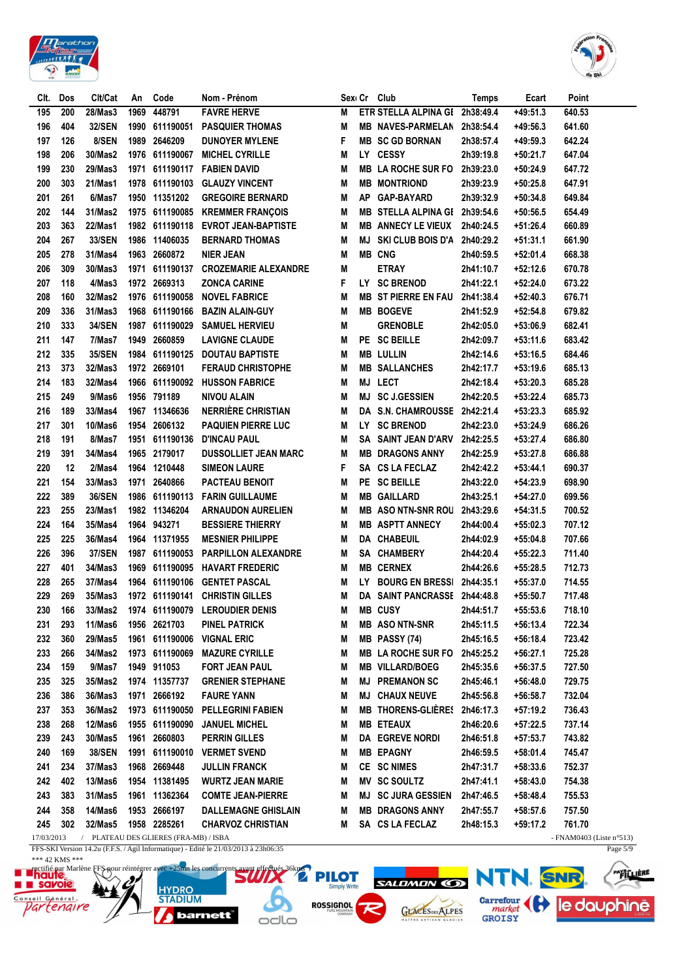



| CIt.       | Dos        | Clt/Cat       | An   | Code                                  | Nom - Prénom                                                                        |        |     | Sex Cr Club                    | <b>Temps</b>           | Ecart      | Point                       |
|------------|------------|---------------|------|---------------------------------------|-------------------------------------------------------------------------------------|--------|-----|--------------------------------|------------------------|------------|-----------------------------|
| 195        | 200        | 28/Mas3       | 1969 | 448791                                | <b>FAVRE HERVE</b>                                                                  | М      |     | ETR STELLA ALPINA GI 2h38:49.4 |                        | $+49:51.3$ | 640.53                      |
| 196        | 404        | <b>32/SEN</b> | 1990 | 611190051                             | <b>PASQUIER THOMAS</b>                                                              | M      |     | MB NAVES-PARMELAN 2h38:54.4    |                        | +49:56.3   | 641.60                      |
| 197        | 126        | 8/SEN         | 1989 | 2646209                               | <b>DUNOYER MYLENE</b>                                                               | F      |     | <b>MB SC GD BORNAN</b>         | 2h38:57.4              | $+49:59.3$ | 642.24                      |
| 198        | 206        | 30/Mas2       |      | 1976 611190067                        | <b>MICHEL CYRILLE</b>                                                               | M      |     | LY CESSY                       | 2h39:19.8              | $+50:21.7$ | 647.04                      |
| 199        | 230        | 29/Mas3       | 1971 |                                       | 611190117 FABIEN DAVID                                                              | M      |     | MB LA ROCHE SUR FO 2h39:23.0   |                        | $+50:24.9$ | 647.72                      |
| 200        | 303        | 21/Mas1       |      |                                       | 1978 611190103 GLAUZY VINCENT                                                       | M      | MВ  | <b>MONTRIOND</b>               | 2h39:23.9              | +50:25.8   | 647.91                      |
| 201        | 261        | 6/Mas7        |      | 1950 11351202                         | <b>GREGOIRE BERNARD</b>                                                             | M      | AΡ  | <b>GAP-BAYARD</b>              | 2h39:32.9              | $+50:34.8$ | 649.84                      |
| 202        | 144        | 31/Mas2       |      |                                       | 1975 611190085 KREMMER FRANÇOIS                                                     | M      | MВ  | STELLA ALPINA GI 2h39:54.6     |                        | $+50:56.5$ | 654.49                      |
| 203        | 363        | 22/Mas1       |      |                                       | 1982 611190118 EVROT JEAN-BAPTISTE                                                  | M      | MВ  | <b>ANNECY LE VIEUX</b>         | 2h40:24.5              | $+51:26.4$ | 660.89                      |
| 204        | 267        | 33/SEN        |      | 1986 11406035                         | <b>BERNARD THOMAS</b>                                                               | M      | ΜJ  | SKI CLUB BOIS D'A 2h40:29.2    |                        | $+51:31.1$ | 661.90                      |
| 205        | 278        | 31/Mas4       |      | 1963 2660872                          | <b>NIER JEAN</b>                                                                    | M      |     | <b>MB CNG</b>                  | 2h40:59.5              | $+52:01.4$ | 668.38                      |
| 206        | 309        | 30/Mas3       |      | 1971 611190137                        | <b>CROZEMARIE ALEXANDRE</b>                                                         | M      |     | <b>ETRAY</b>                   | 2h41:10.7              | +52:12.6   | 670.78                      |
| 207        | 118        | 4/Mas3        |      | 1972 2669313                          | <b>ZONCA CARINE</b>                                                                 | F      |     | LY SC BRENOD                   | 2h41:22.1              | +52:24.0   | 673.22                      |
| 208        | 160        | 32/Mas2       |      | 1976 611190058                        | <b>NOVEL FABRICE</b>                                                                | M      |     | <b>MB ST PIERRE EN FAU</b>     | 2h41:38.4              | $+52:40.3$ | 676.71                      |
| 209        | 336        | 31/Mas3       |      | 1968 611190166                        | <b>BAZIN ALAIN-GUY</b>                                                              | M      |     | <b>MB BOGEVE</b>               | 2h41:52.9              | $+52:54.8$ | 679.82                      |
| 210        | 333        | <b>34/SEN</b> | 1987 | 611190029                             | <b>SAMUEL HERVIEU</b>                                                               | M      |     | <b>GRENOBLE</b>                | 2h42:05.0              | +53:06.9   | 682.41                      |
| 211        | 147        | 7/Mas7        | 1949 | 2660859                               | <b>LAVIGNE CLAUDE</b>                                                               | M      | PE. | <b>SC BEILLE</b>               | 2h42:09.7              | $+53:11.6$ | 683.42                      |
| 212        | 335        | 35/SEN        |      | 1984 611190125                        | <b>DOUTAU BAPTISTE</b>                                                              | M      |     | <b>MB LULLIN</b>               | 2h42:14.6              | $+53:16.5$ | 684.46                      |
| 213        | 373        | 32/Mas3       |      | 1972 2669101                          | <b>FERAUD CHRISTOPHE</b>                                                            | M      |     | <b>MB SALLANCHES</b>           | 2h42:17.7              | +53:19.6   | 685.13                      |
| 214        | 183        | 32/Mas4       | 1966 | 611190092                             | <b>HUSSON FABRICE</b>                                                               | M      |     | MJ LECT                        | 2h42:18.4              | $+53:20.3$ | 685.28                      |
| 215        | 249        | 9/Mas6        | 1956 | 791189                                | <b>NIVOU ALAIN</b>                                                                  | М      |     | MJ SC J.GESSIEN                | 2h42:20.5              | $+53:22.4$ | 685.73                      |
| 216        | 189        | 33/Mas4       |      | 1967 11346636                         | <b>NERRIÈRE CHRISTIAN</b>                                                           | M      |     | DA S.N. CHAMROUSSE             | 2h42:21.4              | $+53:23.3$ | 685.92                      |
| 217        | 301        | 10/Mas6       |      | 1954 2606132                          | <b>PAQUIEN PIERRE LUC</b>                                                           | M      | LY. | <b>SC BRENOD</b>               | 2h42:23.0              | $+53:24.9$ | 686.26                      |
| 218        |            | 8/Mas7        | 1951 | 611190136                             | <b>D'INCAU PAUL</b>                                                                 |        |     | SA SAINT JEAN D'ARV            |                        | $+53:27.4$ | 686.80                      |
| 219        | 191<br>391 | 34/Mas4       |      | 1965 2179017                          | <b>DUSSOLLIET JEAN MARC</b>                                                         | M<br>M |     | <b>MB DRAGONS ANNY</b>         | 2h42:25.5<br>2h42:25.9 | $+53:27.8$ | 686.88                      |
|            |            |               |      |                                       |                                                                                     |        |     |                                |                        |            |                             |
| 220        | 12         | 2/Mas4        | 1964 | 1210448                               | <b>SIMEON LAURE</b>                                                                 | F      | SA  | <b>CS LA FECLAZ</b>            | 2h42:42.2              | +53:44.1   | 690.37                      |
| 221        | 154        | 33/Mas3       | 1971 | 2640866                               | PACTEAU BENOIT                                                                      | M      | PE  | <b>SC BEILLE</b>               | 2h43:22.0              | $+54:23.9$ | 698.90                      |
| 222        | 389        | <b>36/SEN</b> | 1986 |                                       | 611190113 FARIN GUILLAUME                                                           | M      | MВ  | <b>GAILLARD</b>                | 2h43:25.1              | $+54:27.0$ | 699.56                      |
| 223        | 255        | 23/Mas1       |      | 1982 11346204                         | <b>ARNAUDON AURELIEN</b>                                                            | M      |     | <b>MB ASO NTN-SNR ROU</b>      | 2h43:29.6              | $+54:31.5$ | 700.52                      |
| 224        | 164        | 35/Mas4       |      | 1964 943271                           | <b>BESSIERE THIERRY</b>                                                             | M      |     | <b>MB ASPTT ANNECY</b>         | 2h44:00.4              | +55:02.3   | 707.12                      |
| 225        | 225        | 36/Mas4       |      | 1964 11371955                         | <b>MESNIER PHILIPPE</b>                                                             | M      |     | DA CHABEUIL                    | 2h44:02.9              | +55:04.8   | 707.66                      |
| 226        | 396        | <b>37/SEN</b> |      |                                       | 1987 611190053 PARPILLON ALEXANDRE                                                  | М      |     | SA CHAMBERY                    | 2h44:20.4              | +55:22.3   | 711.40                      |
| 227        | 401        | 34/Mas3       | 1969 |                                       | 611190095 HAVART FREDERIC                                                           | М      |     | <b>MB CERNEX</b>               | 2h44:26.6              | $+55:28.5$ | 712.73                      |
| 228        | 265        | 37/Mas4       |      | 1964 611190106                        | <b>GENTET PASCAL</b>                                                                | M      | LY. | <b>BOURG EN BRESSI</b>         | 2h44:35.1              | $+55:37.0$ | 714.55                      |
| 229        | 269        | 35/Mas3       |      |                                       | 1972 611190141 CHRISTIN GILLES                                                      | M      |     | DA SAINT PANCRASSE 2h44:48.8   |                        | +55:50.7   | 717.48                      |
| 230        | 166        | 33/Mas2       |      |                                       | 1974 611190079 LEROUDIER DENIS                                                      | М      |     | <b>MB CUSY</b>                 | 2h44:51.7              | $+55:53.6$ | 718.10                      |
| 231        | 293        | 11/Mas6       |      | 1956 2621703                          | PINEL PATRICK                                                                       | M      |     | <b>MB ASONTN-SNR</b>           | 2h45:11.5              | $+56:13.4$ | 722.34                      |
| 232        | 360        | 29/Mas5       |      | 1961 611190006                        | <b>VIGNAL ERIC</b>                                                                  | M      |     | MB PASSY (74)                  | 2h45:16.5              | +56:18.4   | 723.42                      |
| 233        | 266        | 34/Mas2       |      | 1973 611190069                        | <b>MAZURE CYRILLE</b>                                                               | M      |     | <b>MB LA ROCHE SUR FO</b>      | 2h45:25.2              | $+56:27.1$ | 725.28                      |
| 234        | 159        | 9/Mas7        |      | 1949 911053                           | FORT JEAN PAUL                                                                      | M      |     | <b>MB VILLARD/BOEG</b>         | 2h45:35.6              | $+56:37.5$ | 727.50                      |
| 235        | 325        | 35/Mas2       |      | 1974 11357737                         | <b>GRENIER STEPHANE</b>                                                             | M      | MJ  | <b>PREMANON SC</b>             | 2h45:46.1              | +56:48.0   | 729.75                      |
| 236        | 386        | 36/Mas3       |      | 1971 2666192                          | <b>FAURE YANN</b>                                                                   | M      | MJ  | <b>CHAUX NEUVE</b>             | 2h45:56.8              | +56:58.7   | 732.04                      |
| 237        | 353        | 36/Mas2       |      | 1973 611190050                        | <b>PELLEGRINI FABIEN</b>                                                            | M      | MB  | THORENS-GLIÈRES 2h46:17.3      |                        | $+57:19.2$ | 736.43                      |
| 238        | 268        | 12/Mas6       |      | 1955 611190090                        | <b>JANUEL MICHEL</b>                                                                | M      |     | <b>MB ETEAUX</b>               | 2h46:20.6              | $+57:22.5$ | 737.14                      |
| 239        | 243        | 30/Mas5       |      | 1961 2660803                          | <b>PERRIN GILLES</b>                                                                | M      |     | <b>DA EGREVE NORDI</b>         | 2h46:51.8              | +57:53.7   | 743.82                      |
| 240        | 169        | <b>38/SEN</b> |      | 1991 611190010                        | <b>VERMET SVEND</b>                                                                 | M      |     | <b>MB EPAGNY</b>               | 2h46:59.5              | +58:01.4   | 745.47                      |
| 241        | 234        | 37/Mas3       |      | 1968 2669448                          | <b>JULLIN FRANCK</b>                                                                | M      |     | CE SC NIMES                    | 2h47:31.7              | $+58:33.6$ | 752.37                      |
| 242        | 402        | 13/Mas6       |      | 1954 11381495                         | <b>WURTZ JEAN MARIE</b>                                                             | M      |     | MV SC SOULTZ                   | 2h47:41.1              | +58:43.0   | 754.38                      |
| 243        | 383        | 31/Mas5       |      | 1961 11362364                         | <b>COMTE JEAN-PIERRE</b>                                                            | M      |     | <b>MJ SC JURA GESSIEN</b>      | 2h47:46.5              | +58:48.4   | 755.53                      |
| 244        | 358        | 14/Mas6       |      | 1953 2666197                          | <b>DALLEMAGNE GHISLAIN</b>                                                          | M      | MВ  | <b>DRAGONS ANNY</b>            | 2h47:55.7              | $+58:57.6$ | 757.50                      |
| 245        | 302        | 32/Mas5       |      | 1958 2285261                          | <b>CHARVOZ CHRISTIAN</b>                                                            | М      |     | SA CS LA FECLAZ                | 2h48:15.3              | +59:17.2   | 761.70                      |
| 17/03/2013 |            |               |      | / PLATEAU DES GLIERES (FRA-MB) / ISBA |                                                                                     |        |     |                                |                        |            | - FNAM0403 (Liste $n°513$ ) |
|            |            |               |      |                                       | FFS-SKI Version 14.2u (F.F.S. / Agil Informatique) - Edité le 21/03/2013 à 23h06:35 |        |     |                                |                        |            | Page 5/9                    |

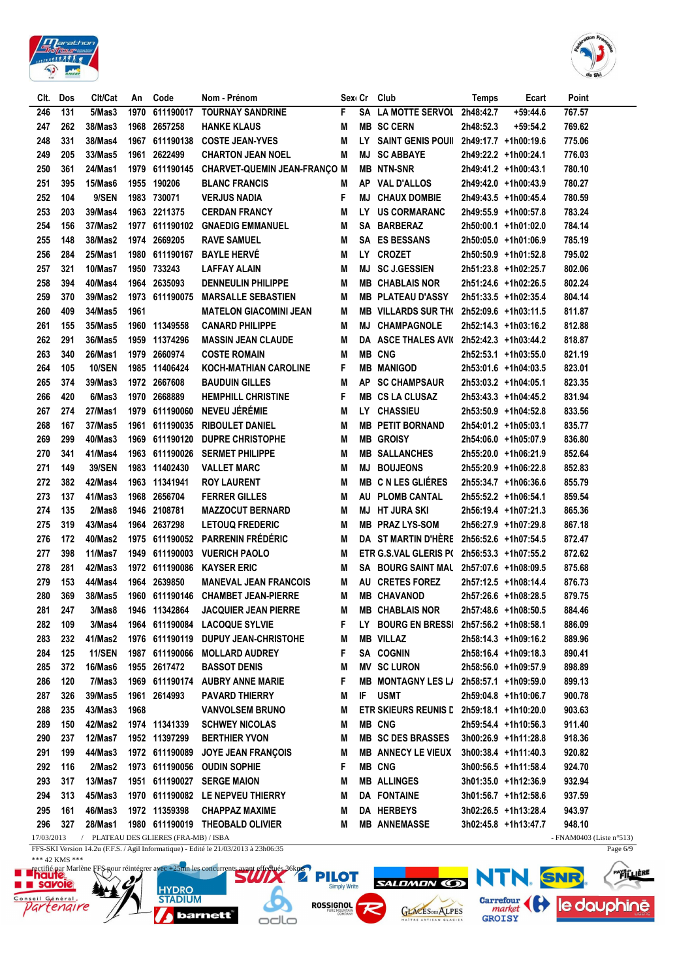



| Clt.       | Dos | Clt/Cat       | An   | Code                                  | Nom - Prénom                                                                        |   |           | Sex Cr Club                                | <b>Temps</b> | Ecart                | Point                    |
|------------|-----|---------------|------|---------------------------------------|-------------------------------------------------------------------------------------|---|-----------|--------------------------------------------|--------------|----------------------|--------------------------|
| 246        | 131 | 5/Mas3        | 1970 | 611190017                             | <b>TOURNAY SANDRINE</b>                                                             | F | SΑ        | LA MOTTE SERVOL 2h48:42.7                  |              | $+59:44.6$           | 767.57                   |
| 247        | 262 | 38/Mas3       | 1968 | 2657258                               | <b>HANKE KLAUS</b>                                                                  | Μ |           | <b>MB SC CERN</b>                          | 2h48:52.3    | +59:54.2             | 769.62                   |
| 248        | 331 | 38/Mas4       | 1967 | 611190138                             | <b>COSTE JEAN-YVES</b>                                                              | Μ |           | LY SAINT GENIS POUII 2h49:17.7 +1h00:19.6  |              |                      | 775.06                   |
| 249        | 205 | 33/Mas5       | 1961 | 2622499                               | <b>CHARTON JEAN NOEL</b>                                                            | Μ | MJ        | <b>SC ABBAYE</b>                           |              | 2h49:22.2 +1h00:24.1 | 776.03                   |
| 250        | 361 | 24/Mas1       | 1979 |                                       | 611190145 CHARVET-QUEMIN JEAN-FRANÇO M                                              |   |           | <b>MB NTN-SNR</b>                          |              | 2h49:41.2 +1h00:43.1 | 780.10                   |
| 251        | 395 | 15/Mas6       | 1955 | 190206                                | <b>BLANC FRANCIS</b>                                                                | M | AP        | VAL D'ALLOS                                |              | 2h49:42.0 +1h00:43.9 | 780.27                   |
| 252        | 104 | 9/SEN         |      | 1983 730071                           | <b>VERJUS NADIA</b>                                                                 | F | МJ        | <b>CHAUX DOMBIE</b>                        |              | 2h49:43.5 +1h00:45.4 | 780.59                   |
| 253        | 203 | 39/Mas4       |      | 1963 2211375                          | <b>CERDAN FRANCY</b>                                                                | Μ | LY.       | <b>US CORMARANC</b>                        |              | 2h49:55.9 +1h00:57.8 | 783.24                   |
| 254        | 156 | 37/Mas2       |      |                                       | 1977 611190102 GNAEDIG EMMANUEL                                                     | Μ |           | SA BARBERAZ                                |              | 2h50:00.1 +1h01:02.0 | 784.14                   |
| 255        | 148 | 38/Mas2       |      | 1974 2669205                          | <b>RAVE SAMUEL</b>                                                                  | Μ |           | <b>SA ES BESSANS</b>                       |              | 2h50:05.0 +1h01:06.9 | 785.19                   |
| 256        | 284 | 25/Mas1       |      | 1980 611190167                        | <b>BAYLE HERVÉ</b>                                                                  | Μ |           | LY CROZET                                  |              | 2h50:50.9 +1h01:52.8 | 795.02                   |
| 257        | 321 | 10/Mas7       |      | 1950 733243                           | LAFFAY ALAIN                                                                        | M | MJ        | <b>SC J.GESSIEN</b>                        |              | 2h51:23.8 +1h02:25.7 | 802.06                   |
| 258        | 394 | 40/Mas4       |      | 1964 2635093                          | <b>DENNEULIN PHILIPPE</b>                                                           | M |           | <b>MB CHABLAIS NOR</b>                     |              | 2h51:24.6 +1h02:26.5 | 802.24                   |
| 259        | 370 | 39/Mas2       |      | 1973 611190075                        | <b>MARSALLE SEBASTIEN</b>                                                           | M |           | <b>MB PLATEAU D'ASSY</b>                   |              | 2h51:33.5 +1h02:35.4 | 804.14                   |
| 260        | 409 | 34/Mas5       | 1961 |                                       | <b>MATELON GIACOMINI JEAN</b>                                                       | M |           | MB VILLARDS SUR TH( 2h52:09.6 +1h03:11.5   |              |                      | 811.87                   |
| 261        | 155 | 35/Mas5       |      | 1960 11349558                         | <b>CANARD PHILIPPE</b>                                                              | M | MJ        | <b>CHAMPAGNOLE</b>                         |              | 2h52:14.3 +1h03:16.2 | 812.88                   |
| 262        | 291 | 36/Mas5       |      | 1959 11374296                         | <b>MASSIN JEAN CLAUDE</b>                                                           | M |           | DA ASCE THALES AVI( 2h52:42.3 +1h03:44.2   |              |                      | 818.87                   |
| 263        | 340 | 26/Mas1       |      | 1979 2660974                          | <b>COSTE ROMAIN</b>                                                                 | M |           | <b>MB CNG</b>                              |              | 2h52:53.1 +1h03:55.0 | 821.19                   |
| 264        | 105 | <b>10/SEN</b> |      | 1985 11406424                         | <b>KOCH-MATHIAN CAROLINE</b>                                                        | F |           | <b>MB MANIGOD</b>                          |              | 2h53:01.6 +1h04:03.5 | 823.01                   |
| 265        | 374 | 39/Mas3       |      | 1972 2667608                          | <b>BAUDUIN GILLES</b>                                                               | М | <b>AP</b> | <b>SC CHAMPSAUR</b>                        |              | 2h53:03.2 +1h04:05.1 | 823.35                   |
| 266        | 420 | 6/Mas3        |      | 1970 2668889                          | <b>HEMPHILL CHRISTINE</b>                                                           | F |           | <b>MB CS LA CLUSAZ</b>                     |              |                      | 831.94                   |
|            |     |               |      |                                       | NEVEU JÉRÉMIE                                                                       |   |           |                                            |              | 2h53:43.3 +1h04:45.2 |                          |
| 267        | 274 | 27/Mas1       |      | 1979 611190060                        |                                                                                     | M |           | LY CHASSIEU                                |              | 2h53:50.9 +1h04:52.8 | 833.56                   |
| 268        | 167 | 37/Mas5       | 1961 | 611190035                             | <b>RIBOULET DANIEL</b>                                                              | М |           | <b>MB PETIT BORNAND</b>                    |              | 2h54:01.2 +1h05:03.1 | 835.77                   |
| 269        | 299 | 40/Mas3       | 1969 | 611190120                             | <b>DUPRE CHRISTOPHE</b>                                                             | Μ |           | <b>MB GROISY</b>                           |              | 2h54:06.0 +1h05:07.9 | 836.80                   |
| 270        | 341 | 41/Mas4       |      | 1963 611190026                        | <b>SERMET PHILIPPE</b>                                                              | Μ |           | <b>MB SALLANCHES</b>                       |              | 2h55:20.0 +1h06:21.9 | 852.64                   |
| 271        | 149 | 39/SEN        | 1983 | 11402430                              | <b>VALLET MARC</b>                                                                  | Μ | MJ        | <b>BOUJEONS</b>                            |              | 2h55:20.9 +1h06:22.8 | 852.83                   |
| 272        | 382 | 42/Mas4       | 1963 | 11341941                              | <b>ROY LAURENT</b>                                                                  | Μ |           | <b>MB C N LES GLIÉRES</b>                  |              | 2h55:34.7 +1h06:36.6 | 855.79                   |
| 273        | 137 | 41/Mas3       | 1968 | 2656704                               | <b>FERRER GILLES</b>                                                                | M |           | AU PLOMB CANTAL                            |              | 2h55:52.2 +1h06:54.1 | 859.54                   |
| 274        | 135 | 2/Mas8        | 1946 | 2108781                               | <b>MAZZOCUT BERNARD</b>                                                             | Μ | MJ        | <b>HT JURA SKI</b>                         |              | 2h56:19.4 +1h07:21.3 | 865.36                   |
| 275        | 319 | 43/Mas4       |      | 1964 2637298                          | <b>LETOUQ FREDERIC</b>                                                              | М | MB        | PRAZ LYS-SOM                               |              | 2h56:27.9 +1h07:29.8 | 867.18                   |
| 276        | 172 | 40/Mas2       |      |                                       | 1975 611190052 PARRENIN FRÉDÉRIC                                                    | М |           | DA ST MARTIN D'HÈRE 2h56:52.6 +1h07:54.5   |              |                      | 872.47                   |
| 277        | 398 | 11/Mas7       |      |                                       | 1949 611190003 VUERICH PAOLO                                                        | М |           | ETR G.S.VAL GLERIS P( 2h56:53.3 +1h07:55.2 |              |                      | 872.62                   |
| 278        | 281 | 42/Mas3       |      |                                       | 1972 611190086 KAYSER ERIC                                                          | M |           | SA BOURG SAINT MAL 2h57:07.6 +1h08:09.5    |              |                      | 875.68                   |
| 279        | 153 | 44/Mas4       |      | 1964 2639850                          | <b>MANEVAL JEAN FRANCOIS</b>                                                        | M |           | AU CRETES FOREZ                            |              | 2h57:12.5 +1h08:14.4 | 876.73                   |
| 280        | 369 | 38/Mas5       |      |                                       | 1960 611190146 CHAMBET JEAN-PIERRE                                                  | M |           | <b>MB CHAVANOD</b>                         |              | 2h57:26.6 +1h08:28.5 | 879.75                   |
| 281        | 247 | 3/Mas8        |      | 1946 11342864                         | <b>JACQUIER JEAN PIERRE</b>                                                         | M |           | <b>MB CHABLAIS NOR</b>                     |              | 2h57:48.6 +1h08:50.5 | 884.46                   |
| 282        | 109 | 3/Mas4        |      |                                       | 1964 611190084 LACOQUE SYLVIE                                                       | F |           | LY BOURG EN BRESSI 2h57:56.2 +1h08:58.1    |              |                      | 886.09                   |
| 283        | 232 | 41/Mas2       |      |                                       | 1976 611190119 DUPUY JEAN-CHRISTOHE                                                 | M |           | <b>MB VILLAZ</b>                           |              | 2h58:14.3 +1h09:16.2 | 889.96                   |
| 284        | 125 | <b>11/SEN</b> |      |                                       | 1987 611190066 MOLLARD AUDREY                                                       | F |           | SA COGNIN                                  |              | 2h58:16.4 +1h09:18.3 | 890.41                   |
| 285        | 372 | 16/Mas6       |      | 1955 2617472                          | <b>BASSOT DENIS</b>                                                                 | M |           | <b>MV SC LURON</b>                         |              | 2h58:56.0 +1h09:57.9 | 898.89                   |
| 286        | 120 | 7/Mas3        |      |                                       | 1969 611190174 AUBRY ANNE MARIE                                                     | F |           | MB MONTAGNY LES L/ 2h58:57.1 +1h09:59.0    |              |                      | 899.13                   |
| 287        | 326 | 39/Mas5       |      | 1961 2614993                          | <b>PAVARD THIERRY</b>                                                               | M | IF.       | <b>USMT</b>                                |              | 2h59:04.8 +1h10:06.7 | 900.78                   |
| 288        | 235 | 43/Mas3       | 1968 |                                       | <b>VANVOLSEM BRUNO</b>                                                              | Μ |           | ETR SKIEURS REUNIS L 2h59:18.1 +1h10:20.0  |              |                      | 903.63                   |
| 289        | 150 | 42/Mas2       |      | 1974 11341339                         | <b>SCHWEY NICOLAS</b>                                                               | M |           | <b>MB CNG</b>                              |              | 2h59:54.4 +1h10:56.3 | 911.40                   |
| 290        | 237 | 12/Mas7       |      | 1952 11397299                         | <b>BERTHIER YVON</b>                                                                | M |           | <b>MB SC DES BRASSES</b>                   |              | 3h00:26.9 +1h11:28.8 | 918.36                   |
| 291        | 199 | 44/Mas3       |      | 1972 611190089                        | <b>JOYE JEAN FRANÇOIS</b>                                                           | M |           | <b>MB ANNECY LE VIEUX</b>                  |              | 3h00:38.4 +1h11:40.3 | 920.82                   |
| 292        | 116 | 2/Mas2        |      |                                       | 1973 611190056 OUDIN SOPHIE                                                         | F |           | <b>MB CNG</b>                              |              | 3h00:56.5 +1h11:58.4 | 924.70                   |
| 293        | 317 | 13/Mas7       |      |                                       | 1951 611190027 SERGE MAION                                                          | M |           | <b>MB ALLINGES</b>                         |              | 3h01:35.0 +1h12:36.9 | 932.94                   |
| 294        | 313 | 45/Mas3       |      |                                       | 1970 611190082 LE NEPVEU THIERRY                                                    | M |           | DA FONTAINE                                |              | 3h01:56.7 +1h12:58.6 | 937.59                   |
| 295        | 161 | 46/Mas3       |      | 1972 11359398                         | <b>CHAPPAZ MAXIME</b>                                                               | M |           | DA HERBEYS                                 |              | 3h02:26.5 +1h13:28.4 | 943.97                   |
| 296        | 327 | 28/Mas1       |      |                                       | 1980 611190019 THEOBALD OLIVIER                                                     | Μ |           | <b>MB ANNEMASSE</b>                        |              | 3h02:45.8 +1h13:47.7 | 948.10                   |
| 17/03/2013 |     |               |      | / PLATEAU DES GLIERES (FRA-MB) / ISBA |                                                                                     |   |           |                                            |              |                      | - FNAM0403 (Liste n°513) |
|            |     |               |      |                                       | FFS-SKI Version 14.2u (F.F.S. / Agil Informatique) - Edité le 21/03/2013 à 23h06:35 |   |           |                                            |              |                      | Page $6/9$               |

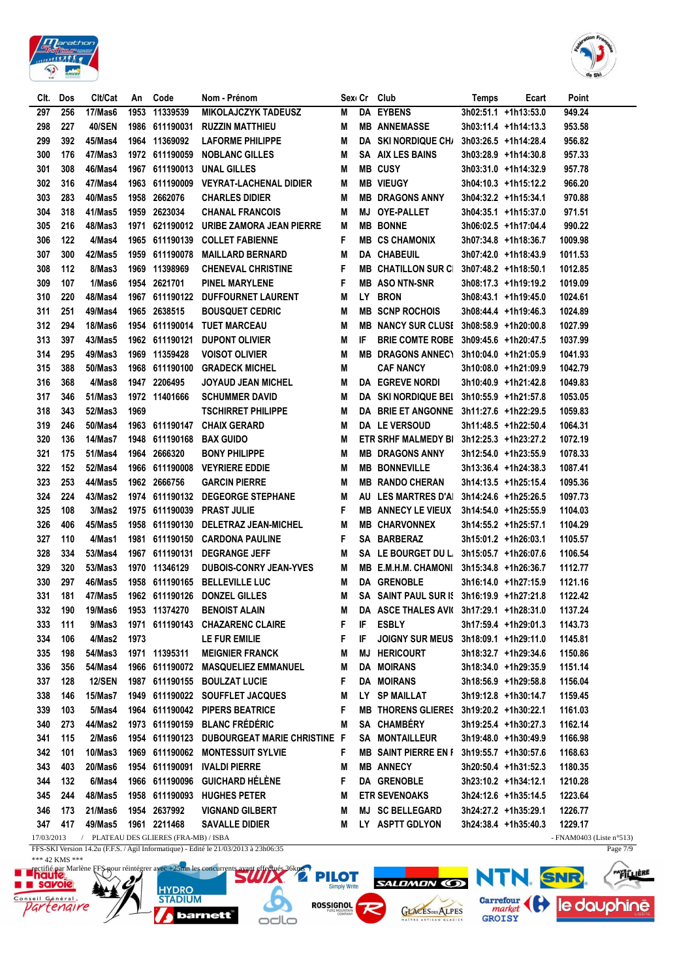



| CIt.       | Dos | Clt/Cat       | An   | Code                                  | Nom - Prénom                                                                        | Sex⊢Cr |    | Club                                      | Temps | Ecart                | Point                    |
|------------|-----|---------------|------|---------------------------------------|-------------------------------------------------------------------------------------|--------|----|-------------------------------------------|-------|----------------------|--------------------------|
| 297        | 256 | 17/Mas6       | 1953 | 11339539                              | <b>MIKOLAJCZYK TADEUSZ</b>                                                          | M      |    | <b>DA EYBENS</b>                          |       | 3h02:51.1 +1h13:53.0 | 949.24                   |
| 298        | 227 | <b>40/SEN</b> |      | 1986 611190031                        | <b>RUZZIN MATTHIEU</b>                                                              | M      |    | <b>MB ANNEMASSE</b>                       |       | 3h03:11.4 +1h14:13.3 | 953.58                   |
| 299        | 392 | 45/Mas4       |      | 1964 11369092                         | <b>LAFORME PHILIPPE</b>                                                             | M      |    | DA SKI NORDIQUE CH/                       |       | 3h03:26.5 +1h14:28.4 | 956.82                   |
| 300        | 176 | 47/Mas3       |      | 1972 611190059                        | <b>NOBLANC GILLES</b>                                                               | M      | SA | AIX LES BAINS                             |       | 3h03:28.9 +1h14:30.8 | 957.33                   |
| 301        | 308 | 46/Mas4       |      | 1967 611190013                        | UNAL GILLES                                                                         | M      |    | <b>MB CUSY</b>                            |       | 3h03:31.0 +1h14:32.9 | 957.78                   |
| 302        | 316 | 47/Mas4       | 1963 | 611190009                             | <b>VEYRAT-LACHENAL DIDIER</b>                                                       | M      |    | <b>MB VIEUGY</b>                          |       | 3h04:10.3 +1h15:12.2 | 966.20                   |
| 303        | 283 | 40/Mas5       | 1958 | 2662076                               | <b>CHARLES DIDIER</b>                                                               | M      |    | <b>MB DRAGONS ANNY</b>                    |       | 3h04:32.2 +1h15:34.1 | 970.88                   |
| 304        | 318 | 41/Mas5       | 1959 | 2623034                               | <b>CHANAL FRANCOIS</b>                                                              | M      | MJ | <b>OYE-PALLET</b>                         |       | 3h04:35.1 +1h15:37.0 | 971.51                   |
| 305        | 216 | 48/Mas3       |      |                                       | 1971 621190012 URIBE ZAMORA JEAN PIERRE                                             | M      |    | <b>MB BONNE</b>                           |       | 3h06:02.5 +1h17:04.4 | 990.22                   |
| 306        | 122 | 4/Mas4        |      | 1965 611190139                        | <b>COLLET FABIENNE</b>                                                              | F      |    | <b>MB CS CHAMONIX</b>                     |       | 3h07:34.8 +1h18:36.7 | 1009.98                  |
| 307        | 300 | 42/Mas5       |      | 1959 611190078                        | <b>MAILLARD BERNARD</b>                                                             | M      |    | DA CHABEUIL                               |       | 3h07:42.0 +1h18:43.9 | 1011.53                  |
| 308        | 112 | 8/Mas3        |      | 1969 11398969                         | <b>CHENEVAL CHRISTINE</b>                                                           | F      |    | <b>MB CHATILLON SUR CI</b>                |       | 3h07:48.2 +1h18:50.1 | 1012.85                  |
| 309        | 107 | 1/Mas6        |      | 1954 2621701                          | <b>PINEL MARYLENE</b>                                                               | F      |    | <b>MB ASONTN-SNR</b>                      |       | 3h08:17.3 +1h19:19.2 | 1019.09                  |
| 310        | 220 | 48/Mas4       |      |                                       | 1967 611190122 DUFFOURNET LAURENT                                                   | M      |    | LY BRON                                   |       | 3h08:43.1 +1h19:45.0 | 1024.61                  |
| 311        | 251 | 49/Mas4       |      | 1965 2638515                          | <b>BOUSQUET CEDRIC</b>                                                              | M      |    | <b>MB SCNP ROCHOIS</b>                    |       | 3h08:44.4 +1h19:46.3 | 1024.89                  |
| 312        | 294 | 18/Mas6       |      |                                       | 1954 611190014 TUET MARCEAU                                                         | M      |    | MB NANCY SUR CLUSE 3h08:58.9 +1h20:00.8   |       |                      | 1027.99                  |
| 313        | 397 | 43/Mas5       |      | 1962 611190121                        | <b>DUPONT OLIVIER</b>                                                               | M      | IF | BRIE COMTE ROBE 3h09:45.6 +1h20:47.5      |       |                      | 1037.99                  |
| 314        | 295 | 49/Mas3       |      | 1969 11359428                         | <b>VOISOT OLIVIER</b>                                                               | M      |    | <b>MB DRAGONS ANNECY</b>                  |       | 3h10:04.0 +1h21:05.9 | 1041.93                  |
| 315        | 388 | 50/Mas3       |      | 1968 611190100                        | <b>GRADECK MICHEL</b>                                                               | M      |    | <b>CAF NANCY</b>                          |       | 3h10:08.0 +1h21:09.9 | 1042.79                  |
| 316        | 368 | 4/Mas8        |      | 1947 2206495                          | <b>JOYAUD JEAN MICHEL</b>                                                           | M      |    | <b>DA EGREVE NORDI</b>                    |       | 3h10:40.9 +1h21:42.8 | 1049.83                  |
| 317        | 346 | 51/Mas3       |      | 1972 11401666                         | <b>SCHUMMER DAVID</b>                                                               | M      |    | DA SKI NORDIQUE BEI                       |       | 3h10:55.9 +1h21:57.8 | 1053.05                  |
| 318        | 343 | 52/Mas3       | 1969 |                                       | <b>TSCHIRRET PHILIPPE</b>                                                           | M      |    | DA BRIE ET ANGONNE 3h11:27.6 +1h22:29.5   |       |                      | 1059.83                  |
| 319        | 246 | 50/Mas4       |      | 1963 611190147                        | <b>CHAIX GERARD</b>                                                                 | M      |    | <b>DA LE VERSOUD</b>                      |       | 3h11:48.5 +1h22:50.4 | 1064.31                  |
| 320        | 136 | 14/Mas7       | 1948 | 611190168                             | <b>BAX GUIDO</b>                                                                    | М      |    | ETR SRHF MALMEDY BI                       |       | 3h12:25.3 +1h23:27.2 | 1072.19                  |
| 321        | 175 | 51/Mas4       |      | 1964 2666320                          | <b>BONY PHILIPPE</b>                                                                | М      |    | <b>MB DRAGONS ANNY</b>                    |       | 3h12:54.0 +1h23:55.9 | 1078.33                  |
| 322        | 152 | 52/Mas4       |      | 1966 611190008                        | <b>VEYRIERE EDDIE</b>                                                               | M      |    | <b>MB BONNEVILLE</b>                      |       | 3h13:36.4 +1h24:38.3 | 1087.41                  |
| 323        | 253 | 44/Mas5       |      | 1962 2666756                          | <b>GARCIN PIERRE</b>                                                                | M      |    | <b>MB RANDO CHERAN</b>                    |       | 3h14:13.5 +1h25:15.4 | 1095.36                  |
| 324        | 224 | 43/Mas2       |      | 1974 611190132                        | <b>DEGEORGE STEPHANE</b>                                                            | M      |    | AU LES MARTRES D'AI                       |       | 3h14:24.6 +1h25:26.5 | 1097.73                  |
| 325        | 108 | 3/Mas2        |      | 1975 611190039                        | <b>PRAST JULIE</b>                                                                  | F      |    | <b>MB ANNECY LE VIEUX</b>                 |       | 3h14:54.0 +1h25:55.9 | 1104.03                  |
| 326        | 406 | 45/Mas5       |      | 1958 611190130                        | DELETRAZ JEAN-MICHEL                                                                | M      | MВ | <b>CHARVONNEX</b>                         |       | 3h14:55.2 +1h25:57.1 | 1104.29                  |
| 327        | 110 | 4/Mas1        | 1981 | 611190150                             | <b>CARDONA PAULINE</b>                                                              | F      | SA | <b>BARBERAZ</b>                           |       | 3h15:01.2 +1h26:03.1 | 1105.57                  |
| 328        | 334 | 53/Mas4       |      | 1967 611190131                        | <b>DEGRANGE JEFF</b>                                                                | M      |    | SA LE BOURGET DU L                        |       | 3h15:05.7 +1h26:07.6 | 1106.54                  |
| 329        | 320 | 53/Mas3       |      | 1970 11346129                         | <b>DUBOIS-CONRY JEAN-YVES</b>                                                       | M      |    | MB E.M.H.M. CHAMONI 3h15:34.8 +1h26:36.7  |       |                      | 1112.77                  |
| 330        | 297 | 46/Mas5       |      | 1958 611190165                        | <b>BELLEVILLE LUC</b>                                                               | М      | DA | <b>GRENOBLE</b>                           |       | 3h16:14.0 +1h27:15.9 | 1121.16                  |
| 331        | 181 | 47/Mas5       |      | 1962 611190126                        | <b>DONZEL GILLES</b>                                                                | М      |    | SA SAINT PAUL SUR IS 3h16:19.9 +1h27:21.8 |       |                      | 1122.42                  |
| 332        | 190 | 19/Mas6       |      | 1953 11374270                         | <b>BENOIST ALAIN</b>                                                                | М      |    | DA ASCE THALES AVI( 3h17:29.1 +1h28:31.0  |       |                      | 1137.24                  |
| 333        | 111 | 9/Mas3        |      |                                       | 1971 611190143 CHAZARENC CLAIRE                                                     | F      | IF | <b>ESBLY</b>                              |       | 3h17:59.4 +1h29:01.3 | 1143.73                  |
| 334        | 106 | 4/Mas2        | 1973 |                                       | LE FUR EMILIE                                                                       | F      | IF | JOIGNY SUR MEUS 3h18:09.1 +1h29:11.0      |       |                      | 1145.81                  |
| 335        | 198 | 54/Mas3       |      | 1971 11395311                         | <b>MEIGNIER FRANCK</b>                                                              | M      | MJ | <b>HERICOURT</b>                          |       | 3h18:32.7 +1h29:34.6 | 1150.86                  |
| 336        | 356 | 54/Mas4       |      |                                       | 1966 611190072 MASQUELIEZ EMMANUEL                                                  | M      |    | DA MOIRANS                                |       | 3h18:34.0 +1h29:35.9 | 1151.14                  |
| 337        | 128 | <b>12/SEN</b> |      |                                       | 1987 611190155 BOULZAT LUCIE                                                        | F      |    | DA MOIRANS                                |       | 3h18:56.9 +1h29:58.8 | 1156.04                  |
| 338        | 146 | 15/Mas7       |      |                                       | 1949 611190022 SOUFFLET JACQUES                                                     | M      |    | LY SP MAILLAT                             |       | 3h19:12.8 +1h30:14.7 | 1159.45                  |
| 339        | 103 | 5/Mas4        |      |                                       | 1964 611190042 PIPERS BEATRICE                                                      | F      | MВ | THORENS GLIERES 3h19:20.2 +1h30:22.1      |       |                      | 1161.03                  |
| 340        | 273 | 44/Mas2       |      | 1973 611190159                        | <b>BLANC FRÉDÉRIC</b>                                                               | M      | SA | <b>CHAMBÉRY</b>                           |       | 3h19:25.4 +1h30:27.3 | 1162.14                  |
| 341        | 115 | 2/Mas6        |      | 1954 611190123                        | DUBOURGEAT MARIE CHRISTINE F                                                        |        |    | SA MONTAILLEUR                            |       | 3h19:48.0 +1h30:49.9 | 1166.98                  |
| 342        | 101 | $10/M$ as $3$ |      | 1969 611190062                        | <b>MONTESSUIT SYLVIE</b>                                                            | F      |    | <b>MB SAINT PIERRE EN F</b>               |       | 3h19:55.7 +1h30:57.6 | 1168.63                  |
| 343        | 403 | 20/Mas6       |      | 1954 611190091                        | <b>IVALDI PIERRE</b>                                                                | M      |    | <b>MB ANNECY</b>                          |       | 3h20:50.4 +1h31:52.3 | 1180.35                  |
| 344        | 132 | 6/Mas4        |      | 1966 611190096                        | <b>GUICHARD HÉLÈNE</b>                                                              | F      |    | DA GRENOBLE                               |       | 3h23:10.2 +1h34:12.1 | 1210.28                  |
| 345        | 244 | 48/Mas5       |      | 1958 611190093                        | <b>HUGHES PETER</b>                                                                 | M      |    | <b>ETR SEVENOAKS</b>                      |       | 3h24:12.6 +1h35:14.5 | 1223.64                  |
| 346        | 173 | 21/Mas6       |      | 1954 2637992                          | <b>VIGNAND GILBERT</b>                                                              | M      |    | <b>MJ SC BELLEGARD</b>                    |       | 3h24:27.2 +1h35:29.1 | 1226.77                  |
| 347        | 417 | 49/Mas5       |      | 1961 2211468                          | <b>SAVALLE DIDIER</b>                                                               | M      |    | LY ASPTT GDLYON                           |       | 3h24:38.4 +1h35:40.3 | 1229.17                  |
| 17/03/2013 |     |               |      | / PLATEAU DES GLIERES (FRA-MB) / ISBA |                                                                                     |        |    |                                           |       |                      | - FNAM0403 (Liste n°513) |
|            |     |               |      |                                       | FFS-SKI Version 14.2u (F.F.S. / Agil Informatique) - Edité le 21/03/2013 à 23h06:35 |        |    |                                           |       |                      | Page 7/9                 |

 $\frac{1}{2}$  barnett

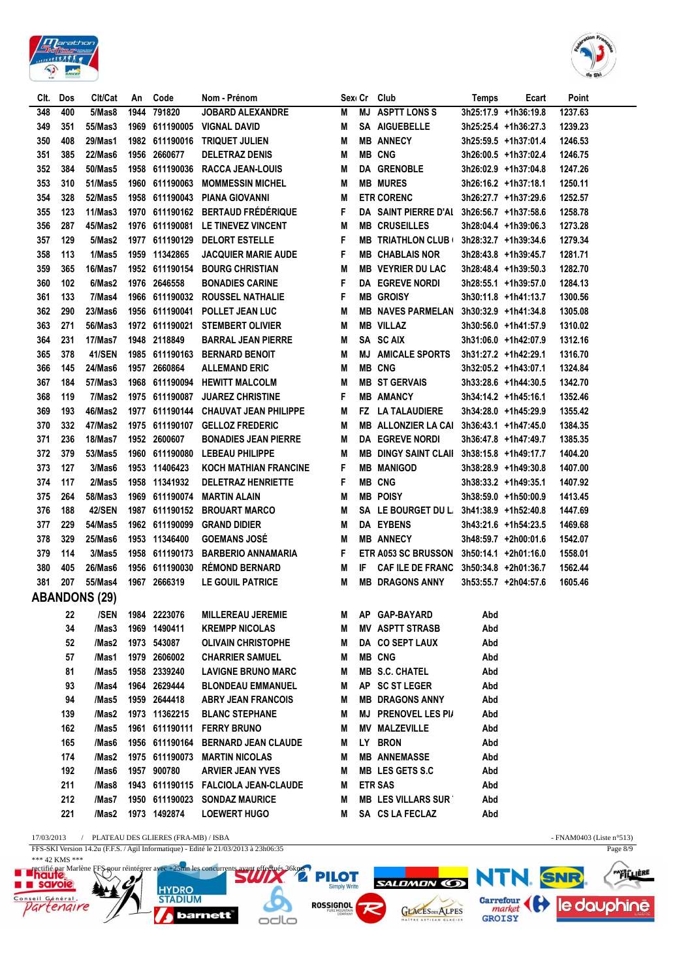



| CIt.       | Dos        | Clt/Cat              | An   | Code                            | Nom - Prénom                                       |        |    | Sex Cr Club                                      | <b>Temps</b> | Ecart                                        | Point              |
|------------|------------|----------------------|------|---------------------------------|----------------------------------------------------|--------|----|--------------------------------------------------|--------------|----------------------------------------------|--------------------|
| 348        | 400        | 5/Mas8               | 1944 | 791820                          | <b>JOBARD ALEXANDRE</b>                            | M      | MJ | <b>ASPTT LONS S</b>                              |              | 3h25:17.9 +1h36:19.8                         | 1237.63            |
| 349        | 351        | 55/Mas3              |      | 1969 611190005                  | <b>VIGNAL DAVID</b>                                | M      |    | SA AIGUEBELLE                                    |              | 3h25:25.4 +1h36:27.3                         | 1239.23            |
| 350        | 408        | 29/Mas1              |      | 1982 611190016                  | TRIQUET JULIEN                                     | M      |    | <b>MB ANNECY</b>                                 |              | 3h25:59.5 +1h37:01.4                         | 1246.53            |
| 351        | 385        | 22/Mas6              |      | 1956 2660677                    | <b>DELETRAZ DENIS</b>                              | M      |    | <b>MB CNG</b>                                    |              | 3h26:00.5 +1h37:02.4                         | 1246.75            |
| 352        | 384        | 50/Mas5              |      | 1958 611190036                  | <b>RACCA JEAN-LOUIS</b>                            | M      |    | DA GRENOBLE                                      |              | 3h26:02.9 +1h37:04.8                         | 1247.26            |
| 353        | 310        | 51/Mas5              | 1960 | 611190063                       | <b>MOMMESSIN MICHEL</b>                            | M      |    | <b>MB MURES</b>                                  |              | 3h26:16.2 +1h37:18.1                         | 1250.11            |
| 354        | 328        | 52/Mas5              |      | 1958 611190043                  | <b>PIANA GIOVANNI</b>                              | M      |    | <b>ETR CORENC</b>                                |              | 3h26:27.7 +1h37:29.6                         | 1252.57            |
| 355        | 123        | 11/Mas3              |      | 1970 611190162                  | <b>BERTAUD FRÉDÉRIQUE</b>                          | F      |    | DA SAINT PIERRE D'AI                             |              | 3h26:56.7 +1h37:58.6                         | 1258.78            |
| 356        | 287        | 45/Mas2              |      | 1976 611190081                  | LE TINEVEZ VINCENT                                 | M      |    | <b>MB CRUSEILLES</b>                             |              | 3h28:04.4 +1h39:06.3                         | 1273.28            |
| 357        | 129        | 5/Mas2               |      | 1977 611190129                  | <b>DELORT ESTELLE</b>                              | F      |    | <b>MB TRIATHLON CLUB (</b>                       |              | 3h28:32.7 +1h39:34.6                         | 1279.34            |
| 358        | 113        | 1/Mas5               |      | 1959 11342865                   | <b>JACQUIER MARIE AUDE</b>                         | F      |    | <b>MB CHABLAIS NOR</b>                           |              | 3h28:43.8 +1h39:45.7                         | 1281.71            |
| 359        | 365        | 16/Mas7              |      | 1952 611190154                  | <b>BOURG CHRISTIAN</b>                             | M      |    | <b>MB VEYRIER DU LAC</b>                         |              | 3h28:48.4 +1h39:50.3                         | 1282.70            |
| 360        | 102        | 6/Mas2               |      | 1976 2646558                    | <b>BONADIES CARINE</b>                             | F      |    | DA EGREVE NORDI                                  |              | 3h28:55.1 +1h39:57.0                         | 1284.13            |
| 361        | 133        | 7/Mas4               |      | 1966 611190032                  | ROUSSEL NATHALIE                                   | F      |    | <b>MB GROISY</b>                                 |              | 3h30:11.8 +1h41:13.7                         | 1300.56            |
| 362        | 290        | 23/Mas6              |      | 1956 611190041                  | POLLET JEAN LUC                                    | M      |    | <b>MB NAVES PARMELAN</b>                         |              | 3h30:32.9 +1h41:34.8                         | 1305.08            |
| 363        | 271        | 56/Mas3              |      | 1972 611190021                  | <b>STEMBERT OLIVIER</b>                            | M      |    | <b>MB VILLAZ</b>                                 |              | 3h30:56.0 +1h41:57.9                         | 1310.02            |
| 364        | 231        | 17/Mas7              |      | 1948 2118849                    | <b>BARRAL JEAN PIERRE</b>                          | M      |    | SA SCAIX                                         |              | 3h31:06.0 +1h42:07.9                         | 1312.16            |
| 365        | 378        | 41/SEN               |      | 1985 611190163                  | <b>BERNARD BENOIT</b>                              | M      |    | <b>MJ AMICALE SPORTS</b>                         |              | 3h31:27.2 +1h42:29.1                         | 1316.70            |
| 366        | 145        | 24/Mas6              |      | 1957 2660864                    | <b>ALLEMAND ERIC</b>                               | M      |    | <b>MB CNG</b>                                    |              | 3h32:05.2 +1h43:07.1                         | 1324.84            |
| 367        | 184        | 57/Mas3              |      |                                 | 1968 611190094 HEWITT MALCOLM                      | M      |    | <b>MB ST GERVAIS</b>                             |              | 3h33:28.6 +1h44:30.5                         | 1342.70            |
| 368        | 119        | 7/Mas2               |      | 1975 611190087                  | <b>JUAREZ CHRISTINE</b>                            | F      |    | <b>MB AMANCY</b>                                 |              | 3h34:14.2 +1h45:16.1                         | 1352.46            |
| 369        | 193        | 46/Mas2              |      | 1977 611190144                  | <b>CHAUVAT JEAN PHILIPPE</b>                       | M      |    | <b>FZ LA TALAUDIERE</b>                          |              | 3h34:28.0 +1h45:29.9                         | 1355.42            |
| 370        | 332        | 47/Mas2              |      |                                 | 1975 611190107 GELLOZ FREDERIC                     | M      |    | <b>MB ALLONZIER LA CAI</b>                       |              | 3h36:43.1 +1h47:45.0                         | 1384.35            |
| 371        | 236        | 18/Mas7              |      | 1952 2600607                    | <b>BONADIES JEAN PIERRE</b>                        | M      |    | DA EGREVE NORDI                                  |              | 3h36:47.8 +1h47:49.7                         | 1385.35            |
| 372        | 379<br>127 | 53/Mas5              |      |                                 | 1960 611190080 LEBEAU PHILIPPE                     | M      |    | <b>MB DINGY SAINT CLAIL</b><br><b>MB MANIGOD</b> |              | 3h38:15.8 +1h49:17.7                         | 1404.20            |
| 373        |            | 3/Mas6<br>2/Mas5     |      | 1953 11406423                   | KOCH MATHIAN FRANCINE                              | F      |    | <b>MB CNG</b>                                    |              | 3h38:28.9 +1h49:30.8                         | 1407.00            |
| 374<br>375 | 117<br>264 | 58/Mas3              |      | 1958 11341932<br>1969 611190074 | <b>DELETRAZ HENRIETTE</b><br><b>MARTIN ALAIN</b>   | F<br>M |    | <b>MB POISY</b>                                  |              | 3h38:33.2 +1h49:35.1                         | 1407.92<br>1413.45 |
| 376        | 188        | <b>42/SEN</b>        |      | 1987 611190152                  | <b>BROUART MARCO</b>                               | M      |    | SA LE BOURGET DU L                               |              | 3h38:59.0 +1h50:00.9<br>3h41:38.9 +1h52:40.8 | 1447.69            |
| 377        | 229        | 54/Mas5              |      | 1962 611190099                  | <b>GRAND DIDIER</b>                                | M      |    | <b>DA EYBENS</b>                                 |              | 3h43:21.6 +1h54:23.5                         | 1469.68            |
| 378        | 329        | 25/Mas6              |      | 1953 11346400                   | <b>GOEMANS JOSÉ</b>                                | M      |    | <b>MB ANNECY</b>                                 |              | 3h48:59.7 +2h00:01.6                         | 1542.07            |
| 379        | 114        | 3/Mas5               | 1958 | 611190173                       | <b>BARBERIO ANNAMARIA</b>                          | F      |    | <b>ETR A053 SC BRUSSON</b>                       |              | 3h50:14.1 +2h01:16.0                         | 1558.01            |
| 380        | 405        | 26/Mas6              |      | 1956 611190030                  | <b>RÉMOND BERNARD</b>                              | M      | IF | <b>CAF ILE DE FRANC</b>                          |              | 3h50:34.8 +2h01:36.7                         | 1562.44            |
| 381        | 207        | 55/Mas4              |      | 1967 2666319                    | LE GOUIL PATRICE                                   | M      |    | <b>MB DRAGONS ANNY</b>                           |              | 3h53:55.7 +2h04:57.6                         | 1605.46            |
|            |            | <b>ABANDONS (29)</b> |      |                                 |                                                    |        |    |                                                  |              |                                              |                    |
|            |            |                      |      | 22 /SEN 1984 2223076            | <b>MILLEREAU JEREMIE</b>                           |        |    |                                                  |              |                                              |                    |
|            |            |                      |      |                                 |                                                    |        |    | M AP GAP-BAYARD                                  | Abd          |                                              |                    |
|            | 34<br>52   | /Mas3<br>/Mas2       |      | 1969 1490411<br>1973 543087     | <b>KREMPP NICOLAS</b><br><b>OLIVAIN CHRISTOPHE</b> | M<br>M |    | <b>MV ASPTT STRASB</b><br>DA CO SEPT LAUX        | Abd<br>Abd   |                                              |                    |
|            | 57         | /Mas1                |      | 1979 2606002                    | <b>CHARRIER SAMUEL</b>                             | M      |    | <b>MB CNG</b>                                    | Abd          |                                              |                    |
|            | 81         | /Mas5                |      | 1958 2339240                    | <b>LAVIGNE BRUNO MARC</b>                          | M      |    | <b>MB S.C. CHATEL</b>                            | Abd          |                                              |                    |
|            | 93         | /Mas4                |      | 1964 2629444                    | <b>BLONDEAU EMMANUEL</b>                           | M      |    | AP SC ST LEGER                                   | Abd          |                                              |                    |
|            | 94         | /Mas5                |      | 1959 2644418                    | <b>ABRY JEAN FRANCOIS</b>                          | M      |    | <b>MB DRAGONS ANNY</b>                           | Abd          |                                              |                    |
|            | 139        | /Mas2                |      | 1973 11362215                   | <b>BLANC STEPHANE</b>                              | M      |    | <b>MJ PRENOVEL LES PI/</b>                       | Abd          |                                              |                    |
|            | 162        | /Mas5                |      |                                 | 1961 611190111 FERRY BRUNO                         | M      |    | <b>MV MALZEVILLE</b>                             | Abd          |                                              |                    |
|            | 165        | /Mas6                |      | 1956 611190164                  | <b>BERNARD JEAN CLAUDE</b>                         | M      |    | LY BRON                                          | Abd          |                                              |                    |
|            | 174        | /Mas2                |      | 1975 611190073                  | <b>MARTIN NICOLAS</b>                              | M      |    | <b>MB ANNEMASSE</b>                              | Abd          |                                              |                    |
|            | 192        | /Mas6                |      | 1957 900780                     | <b>ARVIER JEAN YVES</b>                            | M      |    | MB LES GETS S.C                                  | Abd          |                                              |                    |
|            | 211        | /Mas8                |      |                                 | 1943 611190115 FALCIOLA JEAN-CLAUDE                | M      |    | <b>ETR SAS</b>                                   | Abd          |                                              |                    |
|            | 212        | /Mas7                |      | 1950 611190023                  | <b>SONDAZ MAURICE</b>                              | M      |    | <b>MB LES VILLARS SUR</b>                        | Abd          |                                              |                    |
|            | 221        | /Mas2                |      | 1973 1492874                    | <b>LOEWERT HUGO</b>                                | M      |    | SA CS LA FECLAZ                                  | Abd          |                                              |                    |
|            |            |                      |      |                                 |                                                    |        |    |                                                  |              |                                              |                    |